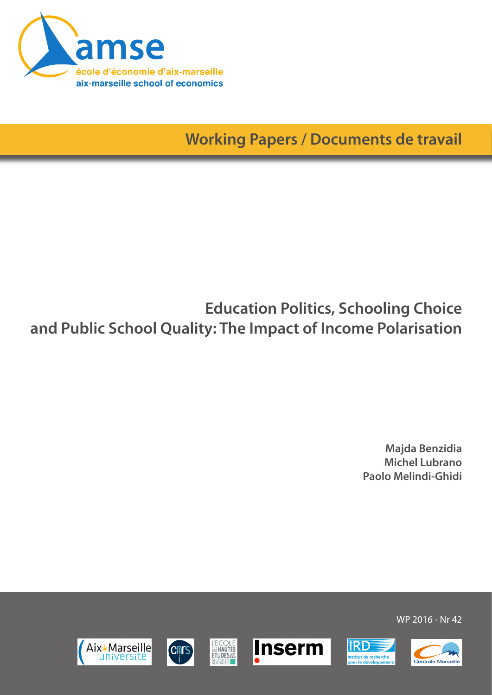

**Working Papers / Documents de travail**

# **Education Politics, Schooling Choice and Public School Quality: The Impact of Income Polarisation**

**L'ECOLE**<br>SENAUTES<br>ETUDES

**CDITS** 

**Inserm** 

**IRD** 

nstitut de recherche<br>vour le développem

**Majda Benzidia Michel Lubrano Paolo Melindi-Ghidi**

WP 2016 - Nr 42



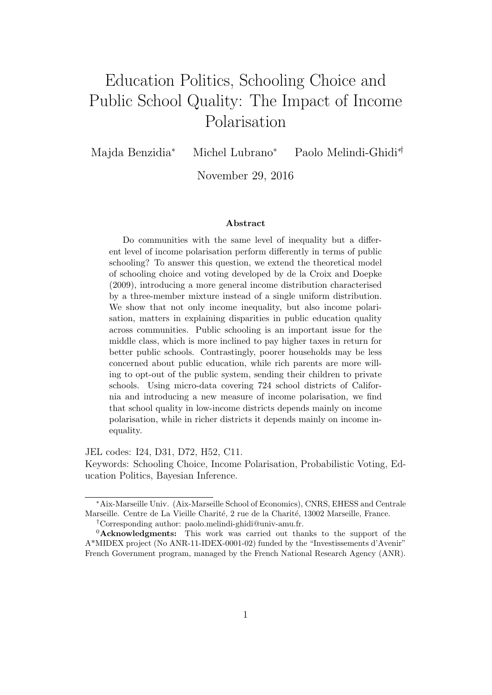# Education Politics, Schooling Choice and Public School Quality: The Impact of Income Polarisation

Majda Benzidia<sup>∗</sup> Michel Lubrano<sup>∗</sup> Paolo Melindi-Ghidi∗†

November 29, 2016

#### Abstract

Do communities with the same level of inequality but a different level of income polarisation perform differently in terms of public schooling? To answer this question, we extend the theoretical model of schooling choice and voting developed by de la Croix and Doepke (2009), introducing a more general income distribution characterised by a three-member mixture instead of a single uniform distribution. We show that not only income inequality, but also income polarisation, matters in explaining disparities in public education quality across communities. Public schooling is an important issue for the middle class, which is more inclined to pay higher taxes in return for better public schools. Contrastingly, poorer households may be less concerned about public education, while rich parents are more willing to opt-out of the public system, sending their children to private schools. Using micro-data covering 724 school districts of California and introducing a new measure of income polarisation, we find that school quality in low-income districts depends mainly on income polarisation, while in richer districts it depends mainly on income inequality.

JEL codes: I24, D31, D72, H52, C11.

Keywords: Schooling Choice, Income Polarisation, Probabilistic Voting, Education Politics, Bayesian Inference.

<sup>∗</sup>Aix-Marseille Univ. (Aix-Marseille School of Economics), CNRS, EHESS and Centrale Marseille. Centre de La Vieille Charité, 2 rue de la Charité, 13002 Marseille, France.

<sup>†</sup>Corresponding author: paolo.melindi-ghidi@univ-amu.fr.

<sup>&</sup>lt;sup>0</sup>Acknowledgments: This work was carried out thanks to the support of the A\*MIDEX project (No ANR-11-IDEX-0001-02) funded by the "Investissements d'Avenir" French Government program, managed by the French National Research Agency (ANR).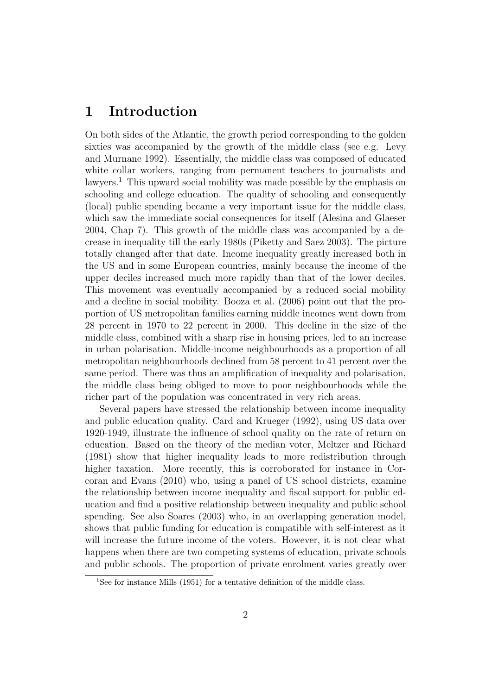## 1 Introduction

On both sides of the Atlantic, the growth period corresponding to the golden sixties was accompanied by the growth of the middle class (see e.g. Levy and Murnane 1992). Essentially, the middle class was composed of educated white collar workers, ranging from permanent teachers to journalists and lawyers.<sup>1</sup> This upward social mobility was made possible by the emphasis on schooling and college education. The quality of schooling and consequently (local) public spending became a very important issue for the middle class, which saw the immediate social consequences for itself (Alesina and Glaeser 2004, Chap 7). This growth of the middle class was accompanied by a decrease in inequality till the early 1980s (Piketty and Saez 2003). The picture totally changed after that date. Income inequality greatly increased both in the US and in some European countries, mainly because the income of the upper deciles increased much more rapidly than that of the lower deciles. This movement was eventually accompanied by a reduced social mobility and a decline in social mobility. Booza et al. (2006) point out that the proportion of US metropolitan families earning middle incomes went down from 28 percent in 1970 to 22 percent in 2000. This decline in the size of the middle class, combined with a sharp rise in housing prices, led to an increase in urban polarisation. Middle-income neighbourhoods as a proportion of all metropolitan neighbourhoods declined from 58 percent to 41 percent over the same period. There was thus an amplification of inequality and polarisation, the middle class being obliged to move to poor neighbourhoods while the richer part of the population was concentrated in very rich areas.

Several papers have stressed the relationship between income inequality and public education quality. Card and Krueger (1992), using US data over 1920-1949, illustrate the influence of school quality on the rate of return on education. Based on the theory of the median voter, Meltzer and Richard (1981) show that higher inequality leads to more redistribution through higher taxation. More recently, this is corroborated for instance in Corcoran and Evans (2010) who, using a panel of US school districts, examine the relationship between income inequality and fiscal support for public education and find a positive relationship between inequality and public school spending. See also Soares (2003) who, in an overlapping generation model, shows that public funding for education is compatible with self-interest as it will increase the future income of the voters. However, it is not clear what happens when there are two competing systems of education, private schools and public schools. The proportion of private enrolment varies greatly over

<sup>&</sup>lt;sup>1</sup>See for instance Mills (1951) for a tentative definition of the middle class.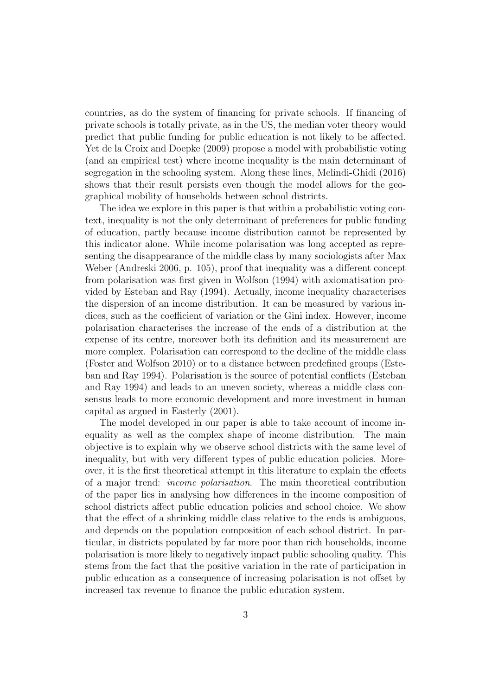countries, as do the system of financing for private schools. If financing of private schools is totally private, as in the US, the median voter theory would predict that public funding for public education is not likely to be affected. Yet de la Croix and Doepke (2009) propose a model with probabilistic voting (and an empirical test) where income inequality is the main determinant of segregation in the schooling system. Along these lines, Melindi-Ghidi (2016) shows that their result persists even though the model allows for the geographical mobility of households between school districts.

The idea we explore in this paper is that within a probabilistic voting context, inequality is not the only determinant of preferences for public funding of education, partly because income distribution cannot be represented by this indicator alone. While income polarisation was long accepted as representing the disappearance of the middle class by many sociologists after Max Weber (Andreski 2006, p. 105), proof that inequality was a different concept from polarisation was first given in Wolfson (1994) with axiomatisation provided by Esteban and Ray (1994). Actually, income inequality characterises the dispersion of an income distribution. It can be measured by various indices, such as the coefficient of variation or the Gini index. However, income polarisation characterises the increase of the ends of a distribution at the expense of its centre, moreover both its definition and its measurement are more complex. Polarisation can correspond to the decline of the middle class (Foster and Wolfson 2010) or to a distance between predefined groups (Esteban and Ray 1994). Polarisation is the source of potential conflicts (Esteban and Ray 1994) and leads to an uneven society, whereas a middle class consensus leads to more economic development and more investment in human capital as argued in Easterly (2001).

The model developed in our paper is able to take account of income inequality as well as the complex shape of income distribution. The main objective is to explain why we observe school districts with the same level of inequality, but with very different types of public education policies. Moreover, it is the first theoretical attempt in this literature to explain the effects of a major trend: income polarisation. The main theoretical contribution of the paper lies in analysing how differences in the income composition of school districts affect public education policies and school choice. We show that the effect of a shrinking middle class relative to the ends is ambiguous, and depends on the population composition of each school district. In particular, in districts populated by far more poor than rich households, income polarisation is more likely to negatively impact public schooling quality. This stems from the fact that the positive variation in the rate of participation in public education as a consequence of increasing polarisation is not offset by increased tax revenue to finance the public education system.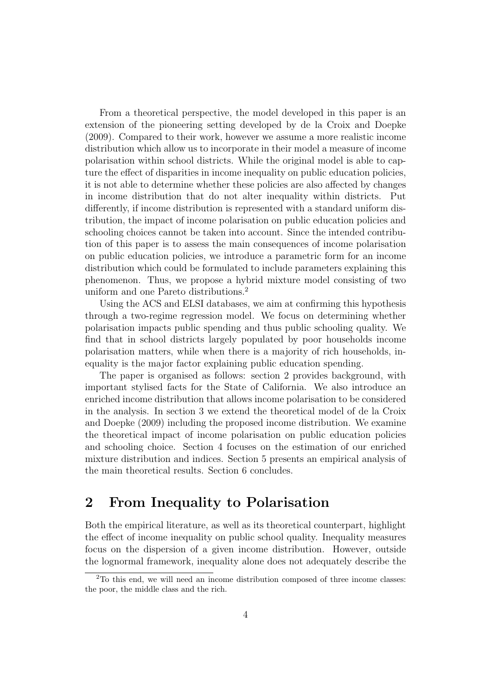From a theoretical perspective, the model developed in this paper is an extension of the pioneering setting developed by de la Croix and Doepke (2009). Compared to their work, however we assume a more realistic income distribution which allow us to incorporate in their model a measure of income polarisation within school districts. While the original model is able to capture the effect of disparities in income inequality on public education policies, it is not able to determine whether these policies are also affected by changes in income distribution that do not alter inequality within districts. Put differently, if income distribution is represented with a standard uniform distribution, the impact of income polarisation on public education policies and schooling choices cannot be taken into account. Since the intended contribution of this paper is to assess the main consequences of income polarisation on public education policies, we introduce a parametric form for an income distribution which could be formulated to include parameters explaining this phenomenon. Thus, we propose a hybrid mixture model consisting of two uniform and one Pareto distributions.<sup>2</sup>

Using the ACS and ELSI databases, we aim at confirming this hypothesis through a two-regime regression model. We focus on determining whether polarisation impacts public spending and thus public schooling quality. We find that in school districts largely populated by poor households income polarisation matters, while when there is a majority of rich households, inequality is the major factor explaining public education spending.

The paper is organised as follows: section 2 provides background, with important stylised facts for the State of California. We also introduce an enriched income distribution that allows income polarisation to be considered in the analysis. In section 3 we extend the theoretical model of de la Croix and Doepke (2009) including the proposed income distribution. We examine the theoretical impact of income polarisation on public education policies and schooling choice. Section 4 focuses on the estimation of our enriched mixture distribution and indices. Section 5 presents an empirical analysis of the main theoretical results. Section 6 concludes.

## 2 From Inequality to Polarisation

Both the empirical literature, as well as its theoretical counterpart, highlight the effect of income inequality on public school quality. Inequality measures focus on the dispersion of a given income distribution. However, outside the lognormal framework, inequality alone does not adequately describe the

<sup>&</sup>lt;sup>2</sup>To this end, we will need an income distribution composed of three income classes: the poor, the middle class and the rich.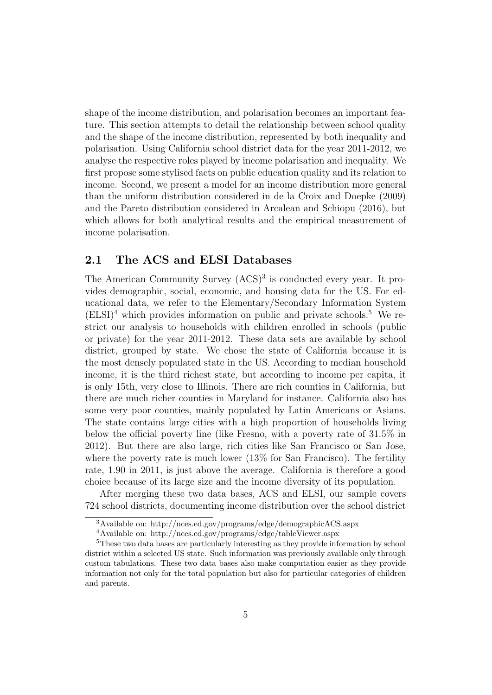shape of the income distribution, and polarisation becomes an important feature. This section attempts to detail the relationship between school quality and the shape of the income distribution, represented by both inequality and polarisation. Using California school district data for the year 2011-2012, we analyse the respective roles played by income polarisation and inequality. We first propose some stylised facts on public education quality and its relation to income. Second, we present a model for an income distribution more general than the uniform distribution considered in de la Croix and Doepke (2009) and the Pareto distribution considered in Arcalean and Schiopu (2016), but which allows for both analytical results and the empirical measurement of income polarisation.

#### 2.1 The ACS and ELSI Databases

The American Community Survey  $(ACS)^3$  is conducted every year. It provides demographic, social, economic, and housing data for the US. For educational data, we refer to the Elementary/Secondary Information System  $(ELSI)<sup>4</sup>$  which provides information on public and private schools.<sup>5</sup> We restrict our analysis to households with children enrolled in schools (public or private) for the year 2011-2012. These data sets are available by school district, grouped by state. We chose the state of California because it is the most densely populated state in the US. According to median household income, it is the third richest state, but according to income per capita, it is only 15th, very close to Illinois. There are rich counties in California, but there are much richer counties in Maryland for instance. California also has some very poor counties, mainly populated by Latin Americans or Asians. The state contains large cities with a high proportion of households living below the official poverty line (like Fresno, with a poverty rate of 31.5% in 2012). But there are also large, rich cities like San Francisco or San Jose, where the poverty rate is much lower  $(13\%$  for San Francisco). The fertility rate, 1.90 in 2011, is just above the average. California is therefore a good choice because of its large size and the income diversity of its population.

After merging these two data bases, ACS and ELSI, our sample covers 724 school districts, documenting income distribution over the school district

<sup>3</sup>Available on: http://nces.ed.gov/programs/edge/demographicACS.aspx

<sup>4</sup>Available on: http://nces.ed.gov/programs/edge/tableViewer.aspx

<sup>&</sup>lt;sup>5</sup>These two data bases are particularly interesting as they provide information by school district within a selected US state. Such information was previously available only through custom tabulations. These two data bases also make computation easier as they provide information not only for the total population but also for particular categories of children and parents.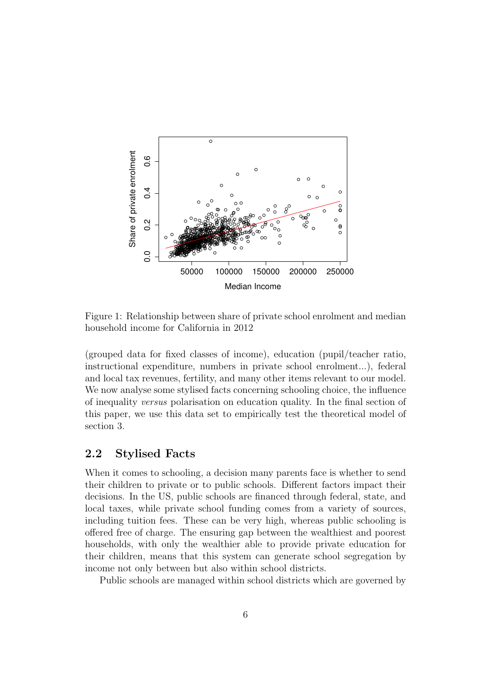

Figure 1: Relationship between share of private school enrolment and median household income for California in 2012

(grouped data for fixed classes of income), education (pupil/teacher ratio, instructional expenditure, numbers in private school enrolment...), federal and local tax revenues, fertility, and many other items relevant to our model. We now analyse some stylised facts concerning schooling choice, the influence of inequality versus polarisation on education quality. In the final section of this paper, we use this data set to empirically test the theoretical model of section 3.

#### 2.2 Stylised Facts

When it comes to schooling, a decision many parents face is whether to send their children to private or to public schools. Different factors impact their decisions. In the US, public schools are financed through federal, state, and local taxes, while private school funding comes from a variety of sources, including tuition fees. These can be very high, whereas public schooling is offered free of charge. The ensuring gap between the wealthiest and poorest households, with only the wealthier able to provide private education for their children, means that this system can generate school segregation by income not only between but also within school districts.

Public schools are managed within school districts which are governed by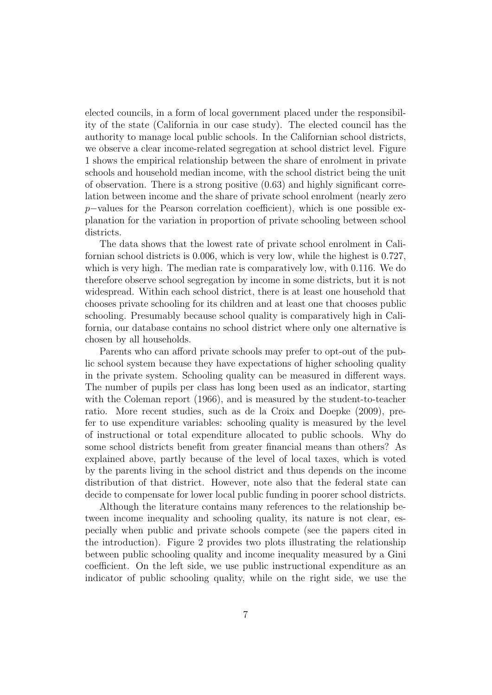elected councils, in a form of local government placed under the responsibility of the state (California in our case study). The elected council has the authority to manage local public schools. In the Californian school districts, we observe a clear income-related segregation at school district level. Figure 1 shows the empirical relationship between the share of enrolment in private schools and household median income, with the school district being the unit of observation. There is a strong positive (0.63) and highly significant correlation between income and the share of private school enrolment (nearly zero p−values for the Pearson correlation coefficient), which is one possible explanation for the variation in proportion of private schooling between school districts.

The data shows that the lowest rate of private school enrolment in Californian school districts is 0.006, which is very low, while the highest is 0.727, which is very high. The median rate is comparatively low, with 0.116. We do therefore observe school segregation by income in some districts, but it is not widespread. Within each school district, there is at least one household that chooses private schooling for its children and at least one that chooses public schooling. Presumably because school quality is comparatively high in California, our database contains no school district where only one alternative is chosen by all households.

Parents who can afford private schools may prefer to opt-out of the public school system because they have expectations of higher schooling quality in the private system. Schooling quality can be measured in different ways. The number of pupils per class has long been used as an indicator, starting with the Coleman report (1966), and is measured by the student-to-teacher ratio. More recent studies, such as de la Croix and Doepke (2009), prefer to use expenditure variables: schooling quality is measured by the level of instructional or total expenditure allocated to public schools. Why do some school districts benefit from greater financial means than others? As explained above, partly because of the level of local taxes, which is voted by the parents living in the school district and thus depends on the income distribution of that district. However, note also that the federal state can decide to compensate for lower local public funding in poorer school districts.

Although the literature contains many references to the relationship between income inequality and schooling quality, its nature is not clear, especially when public and private schools compete (see the papers cited in the introduction). Figure 2 provides two plots illustrating the relationship between public schooling quality and income inequality measured by a Gini coefficient. On the left side, we use public instructional expenditure as an indicator of public schooling quality, while on the right side, we use the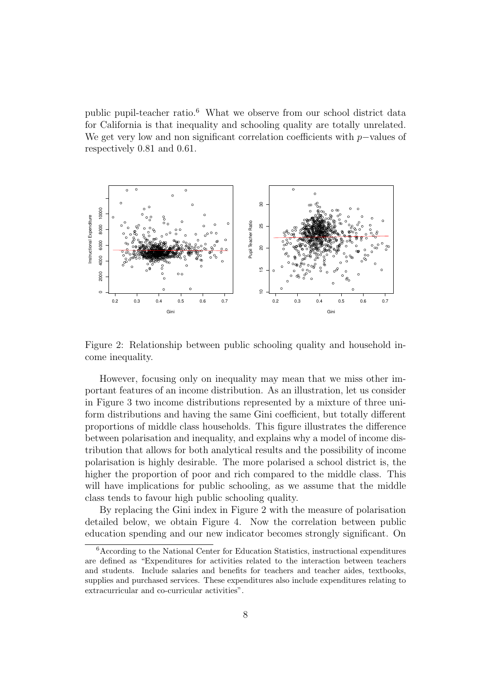public pupil-teacher ratio.<sup>6</sup> What we observe from our school district data for California is that inequality and schooling quality are totally unrelated. We get very low and non significant correlation coefficients with  $p$ −values of respectively 0.81 and 0.61.



Figure 2: Relationship between public schooling quality and household income inequality.

However, focusing only on inequality may mean that we miss other important features of an income distribution. As an illustration, let us consider in Figure 3 two income distributions represented by a mixture of three uniform distributions and having the same Gini coefficient, but totally different proportions of middle class households. This figure illustrates the difference between polarisation and inequality, and explains why a model of income distribution that allows for both analytical results and the possibility of income polarisation is highly desirable. The more polarised a school district is, the higher the proportion of poor and rich compared to the middle class. This will have implications for public schooling, as we assume that the middle class tends to favour high public schooling quality.

By replacing the Gini index in Figure 2 with the measure of polarisation detailed below, we obtain Figure 4. Now the correlation between public education spending and our new indicator becomes strongly significant. On

<sup>6</sup>According to the National Center for Education Statistics, instructional expenditures are defined as "Expenditures for activities related to the interaction between teachers and students. Include salaries and benefits for teachers and teacher aides, textbooks, supplies and purchased services. These expenditures also include expenditures relating to extracurricular and co-curricular activities".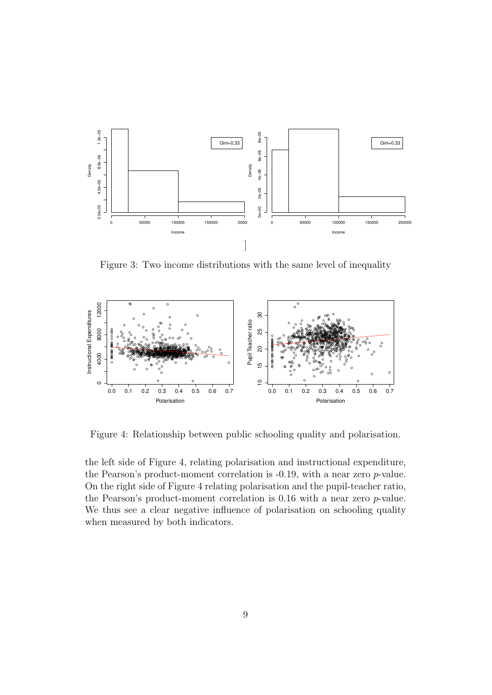

Figure 3: Two income distributions with the same level of inequality



Figure 4: Relationship between public schooling quality and polarisation.

the left side of Figure 4, relating polarisation and instructional expenditure, the Pearson's product-moment correlation is -0.19, with a near zero p-value. On the right side of Figure 4 relating polarisation and the pupil-teacher ratio, the Pearson's product-moment correlation is 0.16 with a near zero p-value. We thus see a clear negative influence of polarisation on schooling quality when measured by both indicators.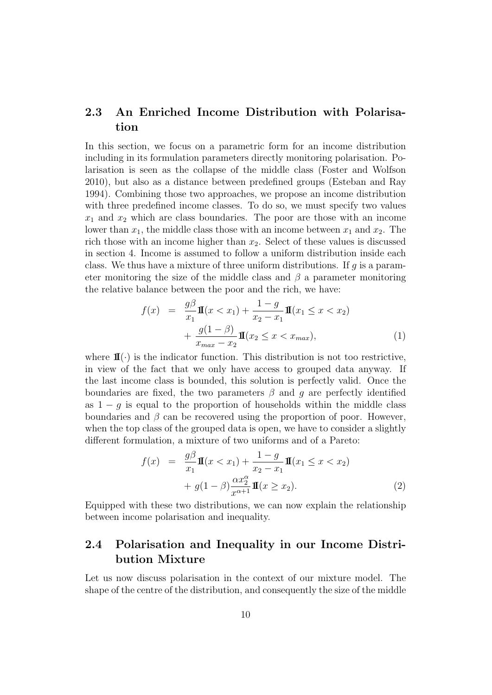### 2.3 An Enriched Income Distribution with Polarisation

In this section, we focus on a parametric form for an income distribution including in its formulation parameters directly monitoring polarisation. Polarisation is seen as the collapse of the middle class (Foster and Wolfson 2010), but also as a distance between predefined groups (Esteban and Ray 1994). Combining those two approaches, we propose an income distribution with three predefined income classes. To do so, we must specify two values  $x_1$  and  $x_2$  which are class boundaries. The poor are those with an income lower than  $x_1$ , the middle class those with an income between  $x_1$  and  $x_2$ . The rich those with an income higher than  $x_2$ . Select of these values is discussed in section 4. Income is assumed to follow a uniform distribution inside each class. We thus have a mixture of three uniform distributions. If  $g$  is a parameter monitoring the size of the middle class and  $\beta$  a parameter monitoring the relative balance between the poor and the rich, we have:

$$
f(x) = \frac{g\beta}{x_1}\mathbf{I}(x < x_1) + \frac{1-g}{x_2 - x_1}\mathbf{I}(x_1 \le x < x_2) + \frac{g(1-\beta)}{x_{max} - x_2}\mathbf{I}(x_2 \le x < x_{max}),
$$
\n(1)

where  $\mathbf{I}(\cdot)$  is the indicator function. This distribution is not too restrictive, in view of the fact that we only have access to grouped data anyway. If the last income class is bounded, this solution is perfectly valid. Once the boundaries are fixed, the two parameters  $\beta$  and g are perfectly identified as  $1 - q$  is equal to the proportion of households within the middle class boundaries and  $\beta$  can be recovered using the proportion of poor. However, when the top class of the grouped data is open, we have to consider a slightly different formulation, a mixture of two uniforms and of a Pareto:

$$
f(x) = \frac{g\beta}{x_1}\mathbf{I}(x < x_1) + \frac{1-g}{x_2 - x_1}\mathbf{I}(x_1 \le x < x_2) + g(1 - \beta)\frac{\alpha x_2^{\alpha}}{x^{\alpha+1}}\mathbf{I}(x \ge x_2).
$$
 (2)

Equipped with these two distributions, we can now explain the relationship between income polarisation and inequality.

### 2.4 Polarisation and Inequality in our Income Distribution Mixture

Let us now discuss polarisation in the context of our mixture model. The shape of the centre of the distribution, and consequently the size of the middle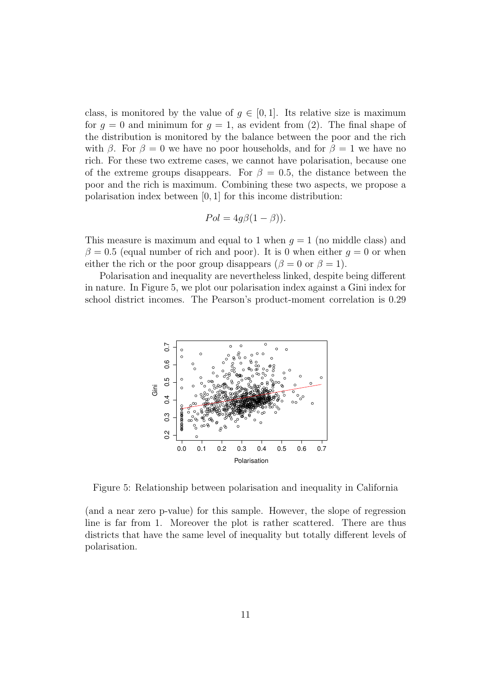class, is monitored by the value of  $g \in [0,1]$ . Its relative size is maximum for  $q = 0$  and minimum for  $q = 1$ , as evident from (2). The final shape of the distribution is monitored by the balance between the poor and the rich with  $\beta$ . For  $\beta = 0$  we have no poor households, and for  $\beta = 1$  we have no rich. For these two extreme cases, we cannot have polarisation, because one of the extreme groups disappears. For  $\beta = 0.5$ , the distance between the poor and the rich is maximum. Combining these two aspects, we propose a polarisation index between [0, 1] for this income distribution:

$$
Pol = 4g\beta(1 - \beta)).
$$

This measure is maximum and equal to 1 when  $q = 1$  (no middle class) and  $\beta = 0.5$  (equal number of rich and poor). It is 0 when either  $q = 0$  or when either the rich or the poor group disappears ( $\beta = 0$  or  $\beta = 1$ ).

Polarisation and inequality are nevertheless linked, despite being different in nature. In Figure 5, we plot our polarisation index against a Gini index for school district incomes. The Pearson's product-moment correlation is 0.29



Figure 5: Relationship between polarisation and inequality in California

(and a near zero p-value) for this sample. However, the slope of regression line is far from 1. Moreover the plot is rather scattered. There are thus districts that have the same level of inequality but totally different levels of polarisation.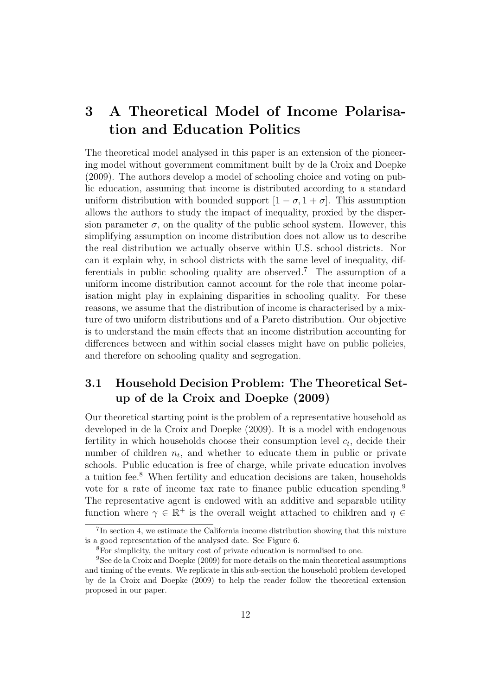## 3 A Theoretical Model of Income Polarisation and Education Politics

The theoretical model analysed in this paper is an extension of the pioneering model without government commitment built by de la Croix and Doepke (2009). The authors develop a model of schooling choice and voting on public education, assuming that income is distributed according to a standard uniform distribution with bounded support  $[1 - \sigma, 1 + \sigma]$ . This assumption allows the authors to study the impact of inequality, proxied by the dispersion parameter  $\sigma$ , on the quality of the public school system. However, this simplifying assumption on income distribution does not allow us to describe the real distribution we actually observe within U.S. school districts. Nor can it explain why, in school districts with the same level of inequality, differentials in public schooling quality are observed.<sup>7</sup> The assumption of a uniform income distribution cannot account for the role that income polarisation might play in explaining disparities in schooling quality. For these reasons, we assume that the distribution of income is characterised by a mixture of two uniform distributions and of a Pareto distribution. Our objective is to understand the main effects that an income distribution accounting for differences between and within social classes might have on public policies, and therefore on schooling quality and segregation.

### 3.1 Household Decision Problem: The Theoretical Setup of de la Croix and Doepke (2009)

Our theoretical starting point is the problem of a representative household as developed in de la Croix and Doepke (2009). It is a model with endogenous fertility in which households choose their consumption level  $c_t$ , decide their number of children  $n_t$ , and whether to educate them in public or private schools. Public education is free of charge, while private education involves a tuition fee.<sup>8</sup> When fertility and education decisions are taken, households vote for a rate of income tax rate to finance public education spending.<sup>9</sup> The representative agent is endowed with an additive and separable utility function where  $\gamma \in \mathbb{R}^+$  is the overall weight attached to children and  $\eta \in$ 

<sup>&</sup>lt;sup>7</sup>In section 4, we estimate the California income distribution showing that this mixture is a good representation of the analysed date. See Figure 6.

<sup>8</sup>For simplicity, the unitary cost of private education is normalised to one.

<sup>9</sup>See de la Croix and Doepke (2009) for more details on the main theoretical assumptions and timing of the events. We replicate in this sub-section the household problem developed by de la Croix and Doepke (2009) to help the reader follow the theoretical extension proposed in our paper.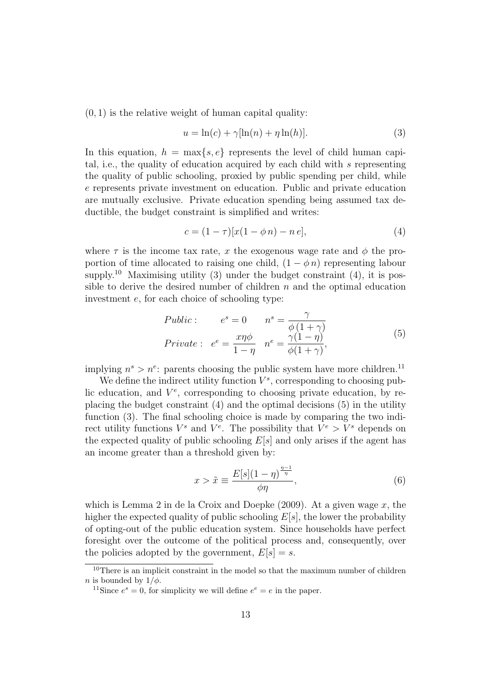$(0, 1)$  is the relative weight of human capital quality:

$$
u = \ln(c) + \gamma[\ln(n) + \eta \ln(h)].
$$
\n(3)

In this equation,  $h = \max\{s, e\}$  represents the level of child human capital, i.e., the quality of education acquired by each child with s representing the quality of public schooling, proxied by public spending per child, while e represents private investment on education. Public and private education are mutually exclusive. Private education spending being assumed tax deductible, the budget constraint is simplified and writes:

$$
c = (1 - \tau)[x(1 - \phi n) - n e], \tag{4}
$$

where  $\tau$  is the income tax rate, x the exogenous wage rate and  $\phi$  the proportion of time allocated to raising one child,  $(1 - \phi n)$  representing labour supply.<sup>10</sup> Maximising utility (3) under the budget constraint (4), it is possible to derive the desired number of children  $n$  and the optimal education investment e, for each choice of schooling type:

$$
Public: \t es = 0 \t ns = \frac{\gamma}{\phi(1+\gamma)}
$$
  
\n
$$
Private: \t ee = \frac{x\eta\phi}{1-\eta} \t ne = \frac{\gamma(1-\eta)}{\phi(1+\gamma)},
$$
\n(5)

implying  $n^s > n^e$ : parents choosing the public system have more children.<sup>11</sup>

We define the indirect utility function  $V^s$ , corresponding to choosing public education, and  $V^e$ , corresponding to choosing private education, by replacing the budget constraint (4) and the optimal decisions (5) in the utility function (3). The final schooling choice is made by comparing the two indirect utility functions  $V^s$  and  $V^e$ . The possibility that  $V^e > V^s$  depends on the expected quality of public schooling  $E[s]$  and only arises if the agent has an income greater than a threshold given by:

$$
x > \tilde{x} \equiv \frac{E[s](1 - \eta)^{\frac{\eta - 1}{\eta}}}{\phi \eta},\tag{6}
$$

which is Lemma 2 in de la Croix and Doepke  $(2009)$ . At a given wage x, the higher the expected quality of public schooling  $E[s]$ , the lower the probability of opting-out of the public education system. Since households have perfect foresight over the outcome of the political process and, consequently, over the policies adopted by the government,  $E[s] = s$ .

<sup>10</sup>There is an implicit constraint in the model so that the maximum number of children *n* is bounded by  $1/\phi$ .

<sup>&</sup>lt;sup>11</sup>Since  $e^s = 0$ , for simplicity we will define  $e^e = e$  in the paper.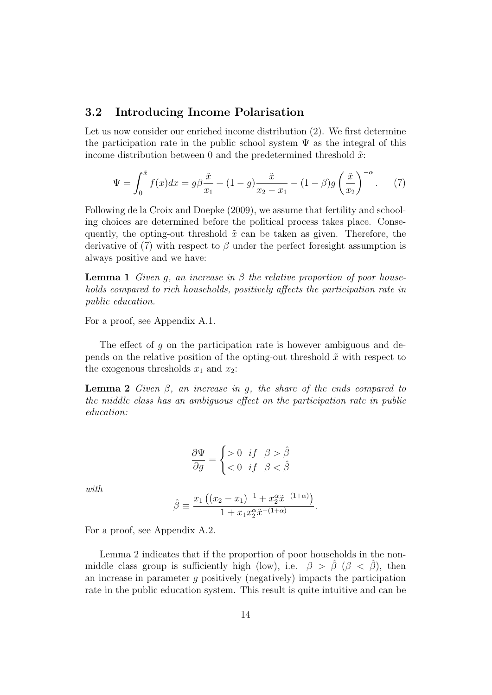#### 3.2 Introducing Income Polarisation

Let us now consider our enriched income distribution (2). We first determine the participation rate in the public school system  $\Psi$  as the integral of this income distribution between 0 and the predetermined threshold  $\tilde{x}$ :

$$
\Psi = \int_0^{\tilde{x}} f(x)dx = g\beta \frac{\tilde{x}}{x_1} + (1 - g)\frac{\tilde{x}}{x_2 - x_1} - (1 - \beta)g\left(\frac{\tilde{x}}{x_2}\right)^{-\alpha}.
$$
 (7)

Following de la Croix and Doepke (2009), we assume that fertility and schooling choices are determined before the political process takes place. Consequently, the opting-out threshold  $\tilde{x}$  can be taken as given. Therefore, the derivative of (7) with respect to  $\beta$  under the perfect foresight assumption is always positive and we have:

**Lemma 1** Given q, an increase in  $\beta$  the relative proportion of poor households compared to rich households, positively affects the participation rate in public education.

For a proof, see Appendix A.1.

The effect of q on the participation rate is however ambiguous and depends on the relative position of the opting-out threshold  $\tilde{x}$  with respect to the exogenous thresholds  $x_1$  and  $x_2$ :

**Lemma 2** Given  $\beta$ , an increase in q, the share of the ends compared to the middle class has an ambiguous effect on the participation rate in public education:

$$
\frac{\partial \Psi}{\partial g} = \begin{cases} >0 & \text{if } \beta > \hat{\beta} \\ <0 & \text{if } \beta < \hat{\beta} \end{cases}
$$

with.

$$
\hat{\beta} \equiv \frac{x_1 ((x_2 - x_1)^{-1} + x_2^{\alpha} \tilde{x}^{-(1+\alpha)})}{1 + x_1 x_2^{\alpha} \tilde{x}^{-(1+\alpha)}}.
$$

For a proof, see Appendix A.2.

Lemma 2 indicates that if the proportion of poor households in the nonmiddle class group is sufficiently high (low), i.e.  $\beta > \hat{\beta}$  ( $\beta < \hat{\beta}$ ), then an increase in parameter q positively (negatively) impacts the participation rate in the public education system. This result is quite intuitive and can be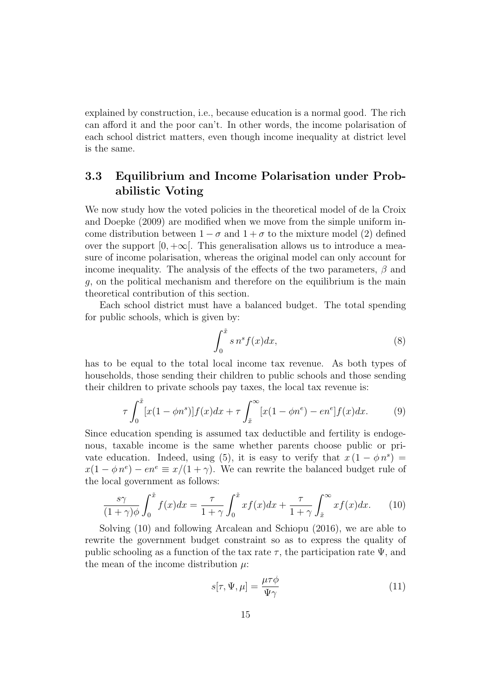explained by construction, i.e., because education is a normal good. The rich can afford it and the poor can't. In other words, the income polarisation of each school district matters, even though income inequality at district level is the same.

### 3.3 Equilibrium and Income Polarisation under Probabilistic Voting

We now study how the voted policies in the theoretical model of de la Croix and Doepke (2009) are modified when we move from the simple uniform income distribution between  $1 - \sigma$  and  $1 + \sigma$  to the mixture model (2) defined over the support  $[0, +\infty]$ . This generalisation allows us to introduce a measure of income polarisation, whereas the original model can only account for income inequality. The analysis of the effects of the two parameters,  $\beta$  and g, on the political mechanism and therefore on the equilibrium is the main theoretical contribution of this section.

Each school district must have a balanced budget. The total spending for public schools, which is given by:

$$
\int_0^{\tilde{x}} s \, n^s f(x) dx,\tag{8}
$$

has to be equal to the total local income tax revenue. As both types of households, those sending their children to public schools and those sending their children to private schools pay taxes, the local tax revenue is:

$$
\tau \int_0^{\tilde{x}} [x(1 - \phi n^s)] f(x) dx + \tau \int_{\tilde{x}}^{\infty} [x(1 - \phi n^e) - en^e] f(x) dx. \tag{9}
$$

Since education spending is assumed tax deductible and fertility is endogenous, taxable income is the same whether parents choose public or private education. Indeed, using (5), it is easy to verify that  $x(1 - \phi n^s) =$  $x(1 - \phi n^e) - en^e \equiv x/(1 + \gamma)$ . We can rewrite the balanced budget rule of the local government as follows:

$$
\frac{s\gamma}{(1+\gamma)\phi} \int_0^{\tilde{x}} f(x)dx = \frac{\tau}{1+\gamma} \int_0^{\tilde{x}} x f(x)dx + \frac{\tau}{1+\gamma} \int_{\tilde{x}}^{\infty} x f(x)dx. \tag{10}
$$

Solving (10) and following Arcalean and Schiopu (2016), we are able to rewrite the government budget constraint so as to express the quality of public schooling as a function of the tax rate  $\tau$ , the participation rate  $\Psi$ , and the mean of the income distribution  $\mu$ :

$$
s[\tau, \Psi, \mu] = \frac{\mu \tau \phi}{\Psi \gamma} \tag{11}
$$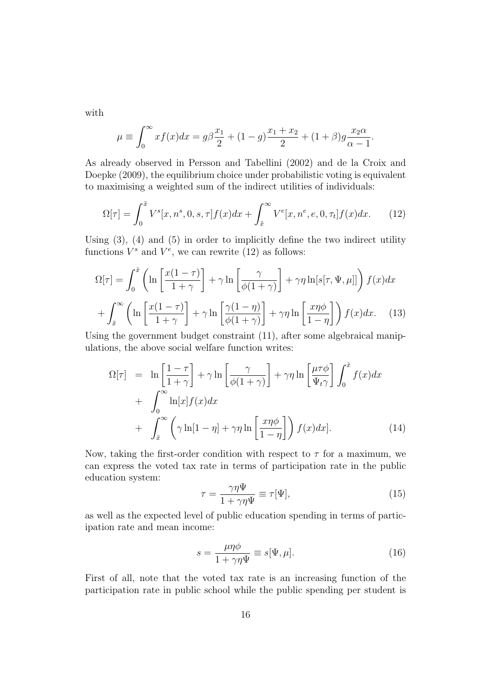with

$$
\mu \equiv \int_0^\infty x f(x) dx = g\beta \frac{x_1}{2} + (1 - g) \frac{x_1 + x_2}{2} + (1 + \beta) g \frac{x_2 \alpha}{\alpha - 1}.
$$

As already observed in Persson and Tabellini (2002) and de la Croix and Doepke (2009), the equilibrium choice under probabilistic voting is equivalent to maximising a weighted sum of the indirect utilities of individuals:

$$
\Omega[\tau] = \int_0^{\tilde{x}} V^s[x, n^s, 0, s, \tau] f(x) dx + \int_{\tilde{x}}^{\infty} V^e[x, n^e, e, 0, \tau_t] f(x) dx.
$$
 (12)

Using (3), (4) and (5) in order to implicitly define the two indirect utility functions  $V^s$  and  $V^e$ , we can rewrite (12) as follows:

$$
\Omega[\tau] = \int_0^{\tilde{x}} \left( \ln \left[ \frac{x(1-\tau)}{1+\gamma} \right] + \gamma \ln \left[ \frac{\gamma}{\phi(1+\gamma)} \right] + \gamma \eta \ln[s[\tau, \Psi, \mu]] \right) f(x) dx
$$

$$
+ \int_{\tilde{x}}^{\infty} \left( \ln \left[ \frac{x(1-\tau)}{1+\gamma} \right] + \gamma \ln \left[ \frac{\gamma(1-\eta)}{\phi(1+\gamma)} \right] + \gamma \eta \ln \left[ \frac{x\eta\phi}{1-\eta} \right] \right) f(x) dx. \tag{13}
$$

Using the government budget constraint (11), after some algebraical manipulations, the above social welfare function writes:

$$
\Omega[\tau] = \ln\left[\frac{1-\tau}{1+\gamma}\right] + \gamma \ln\left[\frac{\gamma}{\phi(1+\gamma)}\right] + \gamma \eta \ln\left[\frac{\mu\tau\phi}{\Psi_t\gamma}\right] \int_0^{\tilde{x}} f(x)dx
$$
  
+ 
$$
\int_0^\infty \ln[x] f(x) dx
$$
  
+ 
$$
\int_{\tilde{x}}^\infty \left(\gamma \ln[1-\eta] + \gamma \eta \ln\left[\frac{x\eta\phi}{1-\eta}\right]\right) f(x) dx].
$$
 (14)

Now, taking the first-order condition with respect to  $\tau$  for a maximum, we can express the voted tax rate in terms of participation rate in the public education system:

$$
\tau = \frac{\gamma \eta \Psi}{1 + \gamma \eta \Psi} \equiv \tau[\Psi],\tag{15}
$$

as well as the expected level of public education spending in terms of participation rate and mean income:

$$
s = \frac{\mu \eta \phi}{1 + \gamma \eta \Psi} \equiv s[\Psi, \mu]. \tag{16}
$$

First of all, note that the voted tax rate is an increasing function of the participation rate in public school while the public spending per student is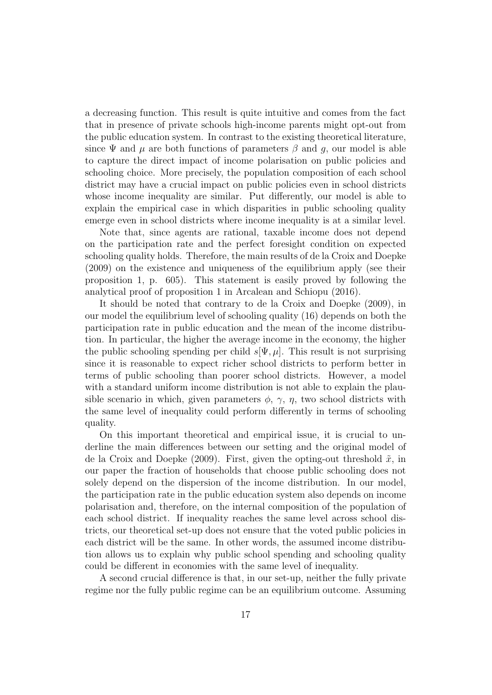a decreasing function. This result is quite intuitive and comes from the fact that in presence of private schools high-income parents might opt-out from the public education system. In contrast to the existing theoretical literature, since  $\Psi$  and  $\mu$  are both functions of parameters  $\beta$  and q, our model is able to capture the direct impact of income polarisation on public policies and schooling choice. More precisely, the population composition of each school district may have a crucial impact on public policies even in school districts whose income inequality are similar. Put differently, our model is able to explain the empirical case in which disparities in public schooling quality emerge even in school districts where income inequality is at a similar level.

Note that, since agents are rational, taxable income does not depend on the participation rate and the perfect foresight condition on expected schooling quality holds. Therefore, the main results of de la Croix and Doepke (2009) on the existence and uniqueness of the equilibrium apply (see their proposition 1, p. 605). This statement is easily proved by following the analytical proof of proposition 1 in Arcalean and Schiopu (2016).

It should be noted that contrary to de la Croix and Doepke (2009), in our model the equilibrium level of schooling quality (16) depends on both the participation rate in public education and the mean of the income distribution. In particular, the higher the average income in the economy, the higher the public schooling spending per child  $s[\Psi, \mu]$ . This result is not surprising since it is reasonable to expect richer school districts to perform better in terms of public schooling than poorer school districts. However, a model with a standard uniform income distribution is not able to explain the plausible scenario in which, given parameters  $\phi$ ,  $\gamma$ ,  $\eta$ , two school districts with the same level of inequality could perform differently in terms of schooling quality.

On this important theoretical and empirical issue, it is crucial to underline the main differences between our setting and the original model of de la Croix and Doepke (2009). First, given the opting-out threshold  $\tilde{x}$ , in our paper the fraction of households that choose public schooling does not solely depend on the dispersion of the income distribution. In our model, the participation rate in the public education system also depends on income polarisation and, therefore, on the internal composition of the population of each school district. If inequality reaches the same level across school districts, our theoretical set-up does not ensure that the voted public policies in each district will be the same. In other words, the assumed income distribution allows us to explain why public school spending and schooling quality could be different in economies with the same level of inequality.

A second crucial difference is that, in our set-up, neither the fully private regime nor the fully public regime can be an equilibrium outcome. Assuming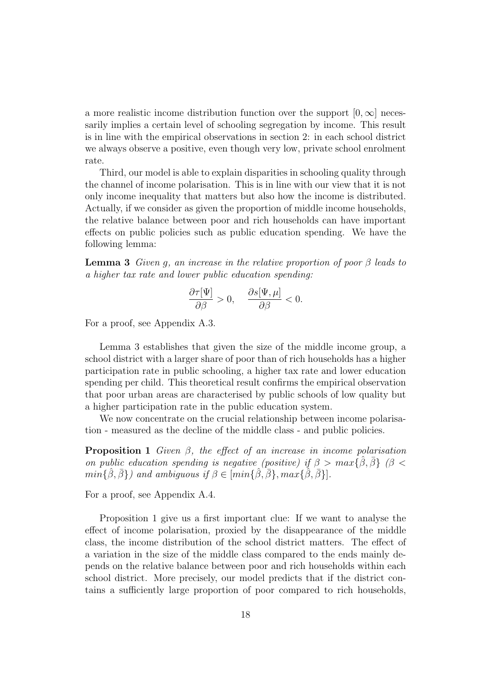a more realistic income distribution function over the support  $[0, \infty]$  necessarily implies a certain level of schooling segregation by income. This result is in line with the empirical observations in section 2: in each school district we always observe a positive, even though very low, private school enrolment rate.

Third, our model is able to explain disparities in schooling quality through the channel of income polarisation. This is in line with our view that it is not only income inequality that matters but also how the income is distributed. Actually, if we consider as given the proportion of middle income households, the relative balance between poor and rich households can have important effects on public policies such as public education spending. We have the following lemma:

**Lemma 3** Given q, an increase in the relative proportion of poor  $\beta$  leads to a higher tax rate and lower public education spending:

$$
\frac{\partial \tau[\Psi]}{\partial \beta} > 0, \quad \frac{\partial s[\Psi, \mu]}{\partial \beta} < 0.
$$

For a proof, see Appendix A.3.

Lemma 3 establishes that given the size of the middle income group, a school district with a larger share of poor than of rich households has a higher participation rate in public schooling, a higher tax rate and lower education spending per child. This theoretical result confirms the empirical observation that poor urban areas are characterised by public schools of low quality but a higher participation rate in the public education system.

We now concentrate on the crucial relationship between income polarisation - measured as the decline of the middle class - and public policies.

**Proposition 1** Given  $\beta$ , the effect of an increase in income polarisation on public education spending is negative (positive) if  $\beta > max\{\hat{\beta}, \bar{\beta}\}\$  ( $\beta <$  $min\{\hat{\beta}, \bar{\beta}\}\)$  and ambiquous if  $\beta \in [min\{\hat{\beta}, \bar{\beta}\}\, max\{\hat{\beta}, \bar{\beta}\}\,].$ 

For a proof, see Appendix A.4.

Proposition 1 give us a first important clue: If we want to analyse the effect of income polarisation, proxied by the disappearance of the middle class, the income distribution of the school district matters. The effect of a variation in the size of the middle class compared to the ends mainly depends on the relative balance between poor and rich households within each school district. More precisely, our model predicts that if the district contains a sufficiently large proportion of poor compared to rich households,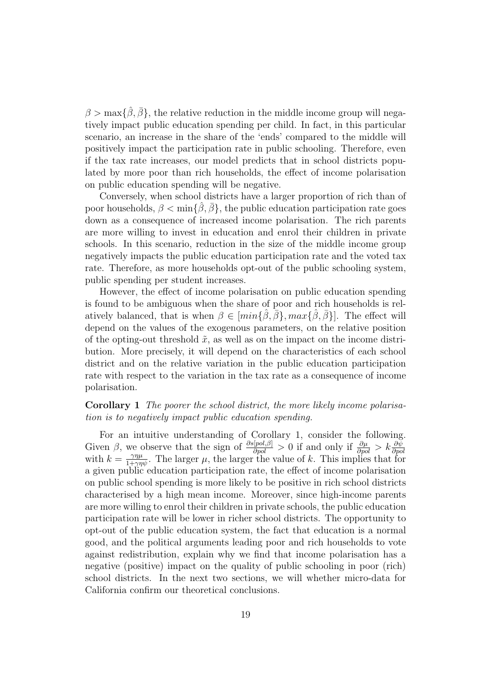$\beta > \max{\{\beta, \bar{\beta}\}}$ , the relative reduction in the middle income group will negatively impact public education spending per child. In fact, in this particular scenario, an increase in the share of the 'ends' compared to the middle will positively impact the participation rate in public schooling. Therefore, even if the tax rate increases, our model predicts that in school districts populated by more poor than rich households, the effect of income polarisation on public education spending will be negative.

Conversely, when school districts have a larger proportion of rich than of poor households,  $\beta < \min\{\hat{\beta}, \bar{\beta}\}\$ , the public education participation rate goes down as a consequence of increased income polarisation. The rich parents are more willing to invest in education and enrol their children in private schools. In this scenario, reduction in the size of the middle income group negatively impacts the public education participation rate and the voted tax rate. Therefore, as more households opt-out of the public schooling system, public spending per student increases.

However, the effect of income polarisation on public education spending is found to be ambiguous when the share of poor and rich households is relatively balanced, that is when  $\beta \in [min\{\hat{\beta}, \bar{\beta}\}, max\{\hat{\beta}, \bar{\beta}\}]$ . The effect will depend on the values of the exogenous parameters, on the relative position of the opting-out threshold  $\tilde{x}$ , as well as on the impact on the income distribution. More precisely, it will depend on the characteristics of each school district and on the relative variation in the public education participation rate with respect to the variation in the tax rate as a consequence of income polarisation.

#### Corollary 1 The poorer the school district, the more likely income polarisation is to negatively impact public education spending.

For an intuitive understanding of Corollary 1, consider the following. Given  $\beta$ , we observe that the sign of  $\frac{\partial s[pol,\beta]}{\partial pol} > 0$  if and only if  $\frac{\partial \mu}{\partial pol} > k \frac{\partial \psi}{\partial pol}$  with  $k = \frac{\gamma \eta \mu}{1 + \gamma \eta \psi}$ . The larger  $\mu$ , the larger the value of k. This implies that for a given public education participation rate, the effect of income polarisation on public school spending is more likely to be positive in rich school districts characterised by a high mean income. Moreover, since high-income parents are more willing to enrol their children in private schools, the public education participation rate will be lower in richer school districts. The opportunity to opt-out of the public education system, the fact that education is a normal good, and the political arguments leading poor and rich households to vote against redistribution, explain why we find that income polarisation has a negative (positive) impact on the quality of public schooling in poor (rich) school districts. In the next two sections, we will whether micro-data for California confirm our theoretical conclusions.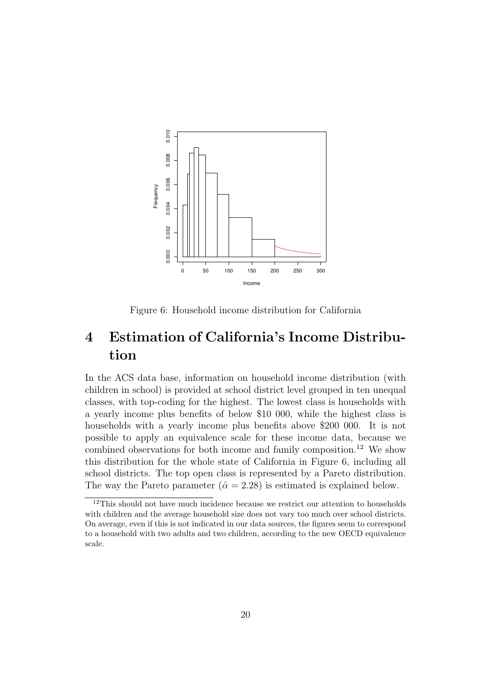

Figure 6: Household income distribution for California

## 4 Estimation of California's Income Distribution

In the ACS data base, information on household income distribution (with children in school) is provided at school district level grouped in ten unequal classes, with top-coding for the highest. The lowest class is households with a yearly income plus benefits of below \$10 000, while the highest class is households with a yearly income plus benefits above \$200 000. It is not possible to apply an equivalence scale for these income data, because we combined observations for both income and family composition.<sup>12</sup> We show this distribution for the whole state of California in Figure 6, including all school districts. The top open class is represented by a Pareto distribution. The way the Pareto parameter ( $\hat{\alpha} = 2.28$ ) is estimated is explained below.

 $^{12}\mathrm{This}$  should not have much incidence because we restrict our attention to households with children and the average household size does not vary too much over school districts. On average, even if this is not indicated in our data sources, the figures seem to correspond to a household with two adults and two children, according to the new OECD equivalence scale.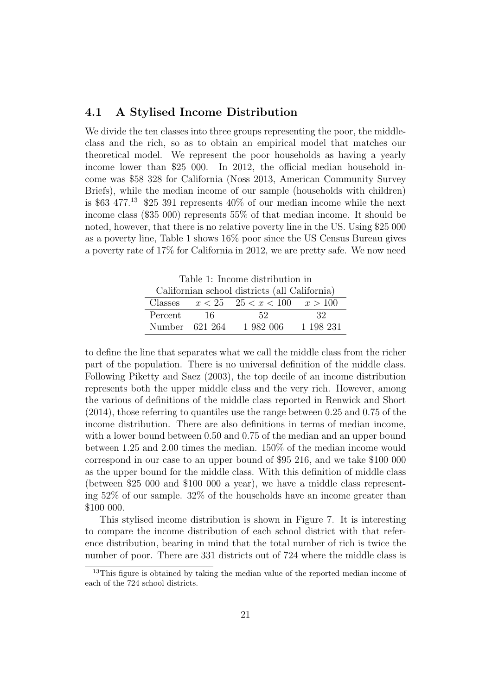#### 4.1 A Stylised Income Distribution

We divide the ten classes into three groups representing the poor, the middleclass and the rich, so as to obtain an empirical model that matches our theoretical model. We represent the poor households as having a yearly income lower than \$25 000. In 2012, the official median household income was \$58 328 for California (Noss 2013, American Community Survey Briefs), while the median income of our sample (households with children) is \$63 477.<sup>13</sup> \$25 391 represents  $40\%$  of our median income while the next income class (\$35 000) represents 55% of that median income. It should be noted, however, that there is no relative poverty line in the US. Using \$25 000 as a poverty line, Table 1 shows 16% poor since the US Census Bureau gives a poverty rate of 17% for California in 2012, we are pretty safe. We now need

Table 1: Income distribution in Californian school districts (all California)

| Californian school districts (all California) |        |                                           |           |  |  |  |  |  |  |
|-----------------------------------------------|--------|-------------------------------------------|-----------|--|--|--|--|--|--|
|                                               |        | Classes $x < 25$ $25 < x < 100$ $x > 100$ |           |  |  |  |  |  |  |
| Percent                                       | - 16 - | -52                                       | -32       |  |  |  |  |  |  |
| Number 621 264                                |        | 1.982.006                                 | 1 198 231 |  |  |  |  |  |  |

to define the line that separates what we call the middle class from the richer part of the population. There is no universal definition of the middle class. Following Piketty and Saez (2003), the top decile of an income distribution represents both the upper middle class and the very rich. However, among the various of definitions of the middle class reported in Renwick and Short (2014), those referring to quantiles use the range between 0.25 and 0.75 of the income distribution. There are also definitions in terms of median income, with a lower bound between 0.50 and 0.75 of the median and an upper bound between 1.25 and 2.00 times the median. 150% of the median income would correspond in our case to an upper bound of \$95 216, and we take \$100 000 as the upper bound for the middle class. With this definition of middle class (between \$25 000 and \$100 000 a year), we have a middle class representing 52% of our sample. 32% of the households have an income greater than \$100 000.

This stylised income distribution is shown in Figure 7. It is interesting to compare the income distribution of each school district with that reference distribution, bearing in mind that the total number of rich is twice the number of poor. There are 331 districts out of 724 where the middle class is

<sup>&</sup>lt;sup>13</sup>This figure is obtained by taking the median value of the reported median income of each of the 724 school districts.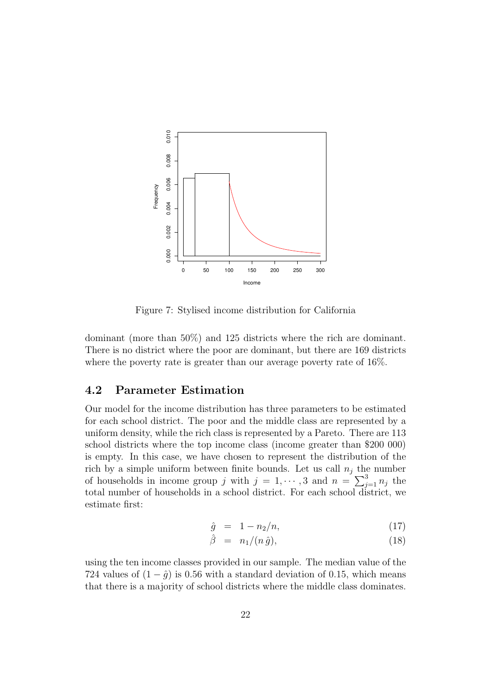

Figure 7: Stylised income distribution for California

dominant (more than 50%) and 125 districts where the rich are dominant. There is no district where the poor are dominant, but there are 169 districts where the poverty rate is greater than our average poverty rate of 16%.

#### 4.2 Parameter Estimation

Our model for the income distribution has three parameters to be estimated for each school district. The poor and the middle class are represented by a uniform density, while the rich class is represented by a Pareto. There are 113 school districts where the top income class (income greater than \$200 000) is empty. In this case, we have chosen to represent the distribution of the rich by a simple uniform between finite bounds. Let us call  $n_i$  the number of households in income group j with  $j = 1, \dots, 3$  and  $n = \sum_{j=1}^{3} n_j$  the total number of households in a school district. For each school district, we estimate first:

$$
\hat{g} = 1 - n_2/n, \tag{17}
$$

$$
\hat{\beta} = n_1/(n \,\hat{g}),\tag{18}
$$

using the ten income classes provided in our sample. The median value of the 724 values of  $(1 - \hat{g})$  is 0.56 with a standard deviation of 0.15, which means that there is a majority of school districts where the middle class dominates.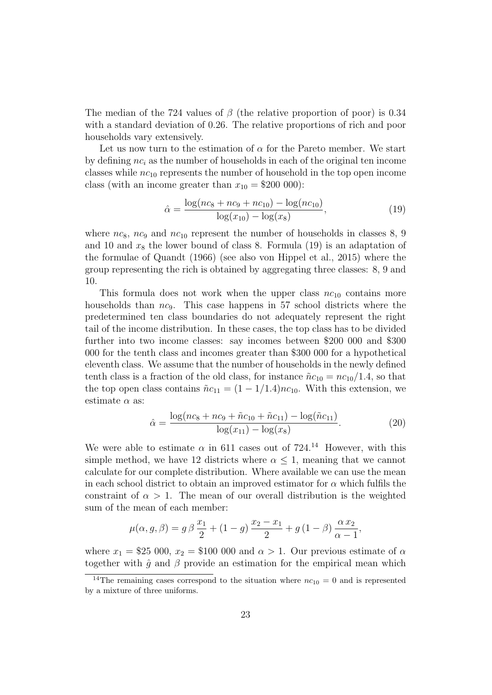The median of the 724 values of  $\beta$  (the relative proportion of poor) is 0.34 with a standard deviation of 0.26. The relative proportions of rich and poor households vary extensively.

Let us now turn to the estimation of  $\alpha$  for the Pareto member. We start by defining  $nc_i$  as the number of households in each of the original ten income classes while  $nc_{10}$  represents the number of household in the top open income class (with an income greater than  $x_{10} = $200\,000)$ :

$$
\hat{\alpha} = \frac{\log(nc_8 + nc_9 + nc_{10}) - \log(nc_{10})}{\log(x_{10}) - \log(x_8)},\tag{19}
$$

where  $nc_8$ ,  $nc_9$  and  $nc_{10}$  represent the number of households in classes 8, 9 and 10 and  $x_8$  the lower bound of class 8. Formula (19) is an adaptation of the formulae of Quandt (1966) (see also von Hippel et al., 2015) where the group representing the rich is obtained by aggregating three classes: 8, 9 and 10.

This formula does not work when the upper class  $nc_{10}$  contains more households than  $nc_9$ . This case happens in 57 school districts where the predetermined ten class boundaries do not adequately represent the right tail of the income distribution. In these cases, the top class has to be divided further into two income classes: say incomes between \$200 000 and \$300 000 for the tenth class and incomes greater than \$300 000 for a hypothetical eleventh class. We assume that the number of households in the newly defined tenth class is a fraction of the old class, for instance  $\tilde{n}c_{10} = nc_{10}/1.4$ , so that the top open class contains  $\tilde{n}c_{11} = (1 - 1/1.4)n c_{10}$ . With this extension, we estimate  $\alpha$  as:

$$
\hat{\alpha} = \frac{\log(nc_8 + nc_9 + \tilde{n}c_{10} + \tilde{n}c_{11}) - \log(\tilde{n}c_{11})}{\log(x_{11}) - \log(x_8)}.
$$
\n(20)

We were able to estimate  $\alpha$  in 611 cases out of 724.<sup>14</sup> However, with this simple method, we have 12 districts where  $\alpha \leq 1$ , meaning that we cannot calculate for our complete distribution. Where available we can use the mean in each school district to obtain an improved estimator for  $\alpha$  which fulfils the constraint of  $\alpha > 1$ . The mean of our overall distribution is the weighted sum of the mean of each member:

$$
\mu(\alpha, g, \beta) = g \beta \frac{x_1}{2} + (1 - g) \frac{x_2 - x_1}{2} + g (1 - \beta) \frac{\alpha x_2}{\alpha - 1},
$$

where  $x_1 = $25\;000, x_2 = $100\;000$  and  $\alpha > 1$ . Our previous estimate of  $\alpha$ together with  $\hat{g}$  and  $\beta$  provide an estimation for the empirical mean which

<sup>&</sup>lt;sup>14</sup>The remaining cases correspond to the situation where  $nc_{10} = 0$  and is represented by a mixture of three uniforms.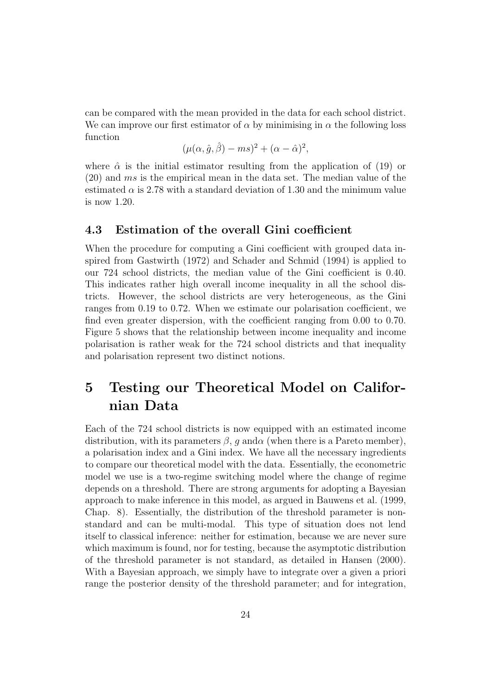can be compared with the mean provided in the data for each school district. We can improve our first estimator of  $\alpha$  by minimising in  $\alpha$  the following loss function

$$
(\mu(\alpha, \hat{g}, \hat{\beta}) - ms)^2 + (\alpha - \hat{\alpha})^2,
$$

where  $\hat{\alpha}$  is the initial estimator resulting from the application of (19) or  $(20)$  and ms is the empirical mean in the data set. The median value of the estimated  $\alpha$  is 2.78 with a standard deviation of 1.30 and the minimum value is now 1.20.

#### 4.3 Estimation of the overall Gini coefficient

When the procedure for computing a Gini coefficient with grouped data inspired from Gastwirth (1972) and Schader and Schmid (1994) is applied to our 724 school districts, the median value of the Gini coefficient is 0.40. This indicates rather high overall income inequality in all the school districts. However, the school districts are very heterogeneous, as the Gini ranges from 0.19 to 0.72. When we estimate our polarisation coefficient, we find even greater dispersion, with the coefficient ranging from 0.00 to 0.70. Figure 5 shows that the relationship between income inequality and income polarisation is rather weak for the 724 school districts and that inequality and polarisation represent two distinct notions.

## 5 Testing our Theoretical Model on Californian Data

Each of the 724 school districts is now equipped with an estimated income distribution, with its parameters  $\beta$ , q and  $\alpha$  (when there is a Pareto member), a polarisation index and a Gini index. We have all the necessary ingredients to compare our theoretical model with the data. Essentially, the econometric model we use is a two-regime switching model where the change of regime depends on a threshold. There are strong arguments for adopting a Bayesian approach to make inference in this model, as argued in Bauwens et al. (1999, Chap. 8). Essentially, the distribution of the threshold parameter is nonstandard and can be multi-modal. This type of situation does not lend itself to classical inference: neither for estimation, because we are never sure which maximum is found, nor for testing, because the asymptotic distribution of the threshold parameter is not standard, as detailed in Hansen (2000). With a Bayesian approach, we simply have to integrate over a given a priori range the posterior density of the threshold parameter; and for integration,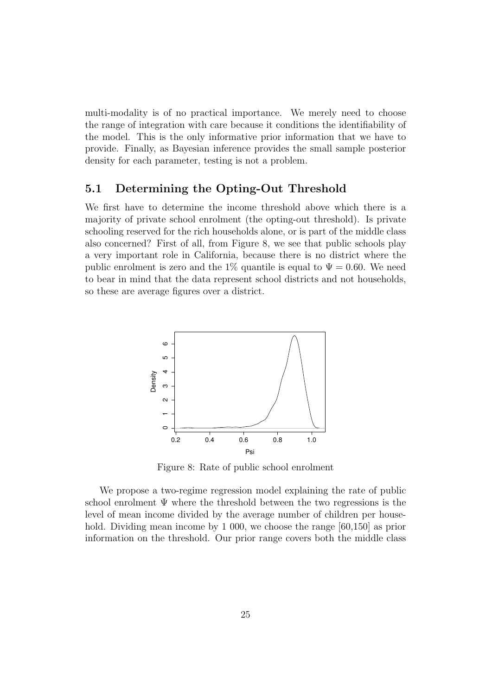multi-modality is of no practical importance. We merely need to choose the range of integration with care because it conditions the identifiability of the model. This is the only informative prior information that we have to provide. Finally, as Bayesian inference provides the small sample posterior density for each parameter, testing is not a problem.

#### 5.1 Determining the Opting-Out Threshold

We first have to determine the income threshold above which there is a majority of private school enrolment (the opting-out threshold). Is private schooling reserved for the rich households alone, or is part of the middle class also concerned? First of all, from Figure 8, we see that public schools play a very important role in California, because there is no district where the public enrolment is zero and the 1% quantile is equal to  $\Psi = 0.60$ . We need to bear in mind that the data represent school districts and not households, so these are average figures over a district.



Figure 8: Rate of public school enrolment

We propose a two-regime regression model explaining the rate of public school enrolment  $\Psi$  where the threshold between the two regressions is the level of mean income divided by the average number of children per household. Dividing mean income by 1 000, we choose the range [60,150] as prior information on the threshold. Our prior range covers both the middle class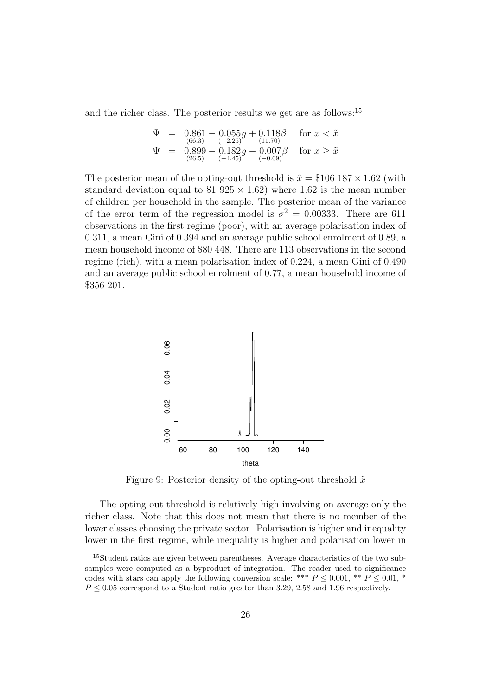and the richer class. The posterior results we get are as follows:<sup>15</sup>

$$
\Psi = \begin{array}{rcl}\n\Psi &=& 0.861 - 0.055g + 0.118\beta \\
\text{(66.3)} & & (-2.25) \\
\Psi &=& 0.899 - 0.182g - 0.007\beta \\
\text{(26.5)} & & (-4.45) \\
\end{array} \quad \text{for } x < \tilde{x}
$$

The posterior mean of the opting-out threshold is  $\tilde{x} = $106 \, 187 \times 1.62$  (with standard deviation equal to \$1 925  $\times$  1.62) where 1.62 is the mean number of children per household in the sample. The posterior mean of the variance of the error term of the regression model is  $\sigma^2 = 0.00333$ . There are 611 observations in the first regime (poor), with an average polarisation index of 0.311, a mean Gini of 0.394 and an average public school enrolment of 0.89, a mean household income of \$80 448. There are 113 observations in the second regime (rich), with a mean polarisation index of 0.224, a mean Gini of 0.490 and an average public school enrolment of 0.77, a mean household income of \$356 201.



Figure 9: Posterior density of the opting-out threshold  $\tilde{x}$ 

The opting-out threshold is relatively high involving on average only the richer class. Note that this does not mean that there is no member of the lower classes choosing the private sector. Polarisation is higher and inequality lower in the first regime, while inequality is higher and polarisation lower in

<sup>15</sup>Student ratios are given between parentheses. Average characteristics of the two subsamples were computed as a byproduct of integration. The reader used to significance codes with stars can apply the following conversion scale: \*\*\*  $P \leq 0.001$ , \*\*  $P \leq 0.01$ , \*  $P \leq 0.05$  correspond to a Student ratio greater than 3.29, 2.58 and 1.96 respectively.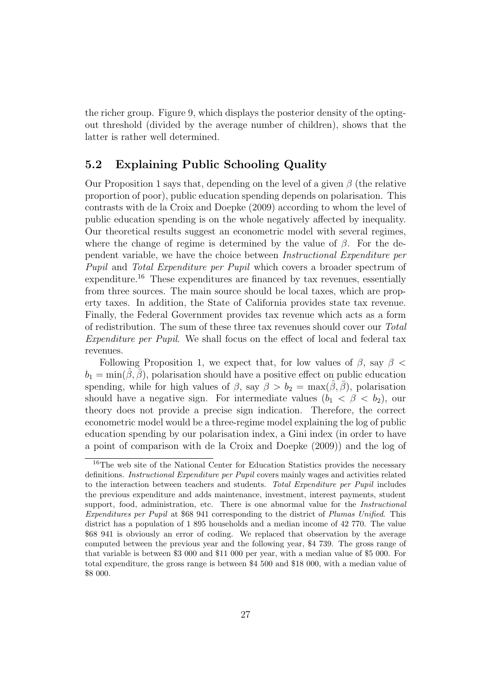the richer group. Figure 9, which displays the posterior density of the optingout threshold (divided by the average number of children), shows that the latter is rather well determined.

#### 5.2 Explaining Public Schooling Quality

Our Proposition 1 says that, depending on the level of a given  $\beta$  (the relative proportion of poor), public education spending depends on polarisation. This contrasts with de la Croix and Doepke (2009) according to whom the level of public education spending is on the whole negatively affected by inequality. Our theoretical results suggest an econometric model with several regimes, where the change of regime is determined by the value of  $\beta$ . For the dependent variable, we have the choice between Instructional Expenditure per Pupil and Total Expenditure per Pupil which covers a broader spectrum of expenditure.<sup>16</sup> These expenditures are financed by tax revenues, essentially from three sources. The main source should be local taxes, which are property taxes. In addition, the State of California provides state tax revenue. Finally, the Federal Government provides tax revenue which acts as a form of redistribution. The sum of these three tax revenues should cover our Total Expenditure per Pupil. We shall focus on the effect of local and federal tax revenues.

Following Proposition 1, we expect that, for low values of  $\beta$ , say  $\beta$  <  $b_1 = \min(\hat{\beta}, \bar{\beta})$ , polarisation should have a positive effect on public education spending, while for high values of  $\beta$ , say  $\beta > b_2 = \max(\beta, \overline{\beta})$ , polarisation should have a negative sign. For intermediate values  $(b_1 < \beta < b_2)$ , our theory does not provide a precise sign indication. Therefore, the correct econometric model would be a three-regime model explaining the log of public education spending by our polarisation index, a Gini index (in order to have a point of comparison with de la Croix and Doepke (2009)) and the log of

<sup>&</sup>lt;sup>16</sup>The web site of the National Center for Education Statistics provides the necessary definitions. Instructional Expenditure per Pupil covers mainly wages and activities related to the interaction between teachers and students. Total Expenditure per Pupil includes the previous expenditure and adds maintenance, investment, interest payments, student support, food, administration, etc. There is one abnormal value for the *Instructional* Expenditures per Pupil at \$68 941 corresponding to the district of Plumas Unified. This district has a population of 1 895 households and a median income of 42 770. The value \$68 941 is obviously an error of coding. We replaced that observation by the average computed between the previous year and the following year, \$4 739. The gross range of that variable is between \$3 000 and \$11 000 per year, with a median value of \$5 000. For total expenditure, the gross range is between \$4 500 and \$18 000, with a median value of \$8 000.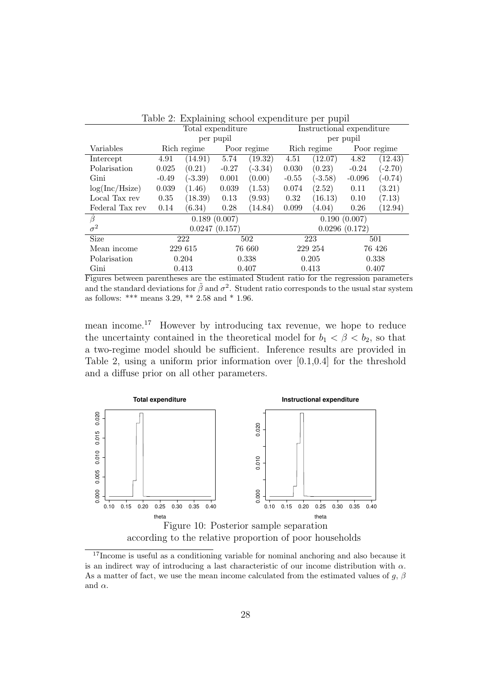| Table 2: Explaining school expenditure per pupil |                   |           |             |               |                           |           |             |           |  |  |
|--------------------------------------------------|-------------------|-----------|-------------|---------------|---------------------------|-----------|-------------|-----------|--|--|
|                                                  | Total expenditure |           |             |               | Instructional expenditure |           |             |           |  |  |
|                                                  | per pupil         |           |             |               | per pupil                 |           |             |           |  |  |
| Variables                                        | Rich regime       |           | Poor regime |               | Rich regime               |           | Poor regime |           |  |  |
| Intercept                                        | 4.91              | (14.91)   | 5.74        | (19.32)       | 4.51                      | (12.07)   | 4.82        | (12.43)   |  |  |
| Polarization                                     | 0.025             | (0.21)    | $-0.27$     | $(-3.34)$     | 0.030                     | (0.23)    | $-0.24$     | $(-2.70)$ |  |  |
| Gini                                             | $-0.49$           | $(-3.39)$ | 0.001       | (0.00)        | $-0.55$                   | $(-3.58)$ | $-0.096$    | $(-0.74)$ |  |  |
| log(Inc/Hsize)                                   | 0.039             | (1.46)    | 0.039       | (1.53)        | 0.074                     | (2.52)    | 0.11        | (3.21)    |  |  |
| Local Tax rev                                    | 0.35              | (18.39)   | 0.13        | (9.93)        | 0.32                      | (16.13)   | 0.10        | (7.13)    |  |  |
| Federal Tax rev                                  | 0.14              | (6.34)    | 0.28        | (14.84)       | 0.099                     | (4.04)    | 0.26        | (12.94)   |  |  |
| B                                                | 0.189(0.007)      |           |             |               | 0.190(0.007)              |           |             |           |  |  |
| $\sigma^2$                                       | 0.0247(0.157)     |           |             | 0.0296(0.172) |                           |           |             |           |  |  |
| <b>Size</b>                                      | 222               |           | 502         |               | 223                       |           | 501         |           |  |  |
| Mean income                                      | 229 615           |           | 76 660      |               | 229 254                   |           | 76 426      |           |  |  |
| Polarization                                     | 0.204             |           | 0.338       |               | 0.205                     |           | 0.338       |           |  |  |
| Gini                                             | 0.413             |           | 0.407       |               | 0.413                     |           | 0.407       |           |  |  |

Figures between parentheses are the estimated Student ratio for the regression parameters and the standard deviations for  $\tilde{\beta}$  and  $\sigma^2$ . Student ratio corresponds to the usual star system

as follows: \*\*\* means 3.29, \*\* 2.58 and \* 1.96.

mean income.<sup>17</sup> However by introducing tax revenue, we hope to reduce the uncertainty contained in the theoretical model for  $b_1 < \beta < b_2$ , so that a two-regime model should be sufficient. Inference results are provided in Table 2, using a uniform prior information over [0.1,0.4] for the threshold and a diffuse prior on all other parameters.



<sup>&</sup>lt;sup>17</sup>Income is useful as a conditioning variable for nominal anchoring and also because it is an indirect way of introducing a last characteristic of our income distribution with  $\alpha$ . As a matter of fact, we use the mean income calculated from the estimated values of g,  $\beta$ and  $\alpha$ .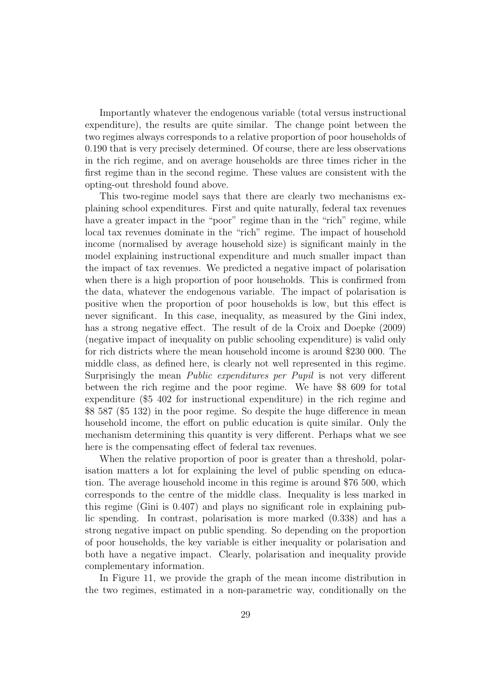Importantly whatever the endogenous variable (total versus instructional expenditure), the results are quite similar. The change point between the two regimes always corresponds to a relative proportion of poor households of 0.190 that is very precisely determined. Of course, there are less observations in the rich regime, and on average households are three times richer in the first regime than in the second regime. These values are consistent with the opting-out threshold found above.

This two-regime model says that there are clearly two mechanisms explaining school expenditures. First and quite naturally, federal tax revenues have a greater impact in the "poor" regime than in the "rich" regime, while local tax revenues dominate in the "rich" regime. The impact of household income (normalised by average household size) is significant mainly in the model explaining instructional expenditure and much smaller impact than the impact of tax revenues. We predicted a negative impact of polarisation when there is a high proportion of poor households. This is confirmed from the data, whatever the endogenous variable. The impact of polarisation is positive when the proportion of poor households is low, but this effect is never significant. In this case, inequality, as measured by the Gini index, has a strong negative effect. The result of de la Croix and Doepke (2009) (negative impact of inequality on public schooling expenditure) is valid only for rich districts where the mean household income is around \$230 000. The middle class, as defined here, is clearly not well represented in this regime. Surprisingly the mean Public expenditures per Pupil is not very different between the rich regime and the poor regime. We have \$8 609 for total expenditure (\$5 402 for instructional expenditure) in the rich regime and \$8 587 (\$5 132) in the poor regime. So despite the huge difference in mean household income, the effort on public education is quite similar. Only the mechanism determining this quantity is very different. Perhaps what we see here is the compensating effect of federal tax revenues.

When the relative proportion of poor is greater than a threshold, polarisation matters a lot for explaining the level of public spending on education. The average household income in this regime is around \$76 500, which corresponds to the centre of the middle class. Inequality is less marked in this regime (Gini is 0.407) and plays no significant role in explaining public spending. In contrast, polarisation is more marked (0.338) and has a strong negative impact on public spending. So depending on the proportion of poor households, the key variable is either inequality or polarisation and both have a negative impact. Clearly, polarisation and inequality provide complementary information.

In Figure 11, we provide the graph of the mean income distribution in the two regimes, estimated in a non-parametric way, conditionally on the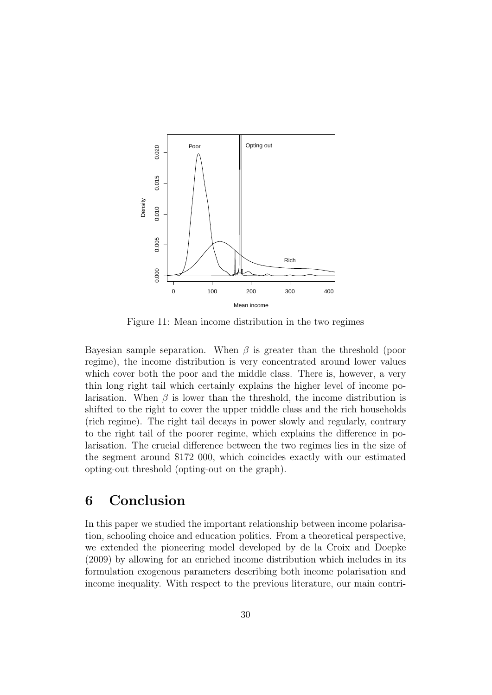

Figure 11: Mean income distribution in the two regimes

Bayesian sample separation. When  $\beta$  is greater than the threshold (poor regime), the income distribution is very concentrated around lower values which cover both the poor and the middle class. There is, however, a very thin long right tail which certainly explains the higher level of income polarisation. When  $\beta$  is lower than the threshold, the income distribution is shifted to the right to cover the upper middle class and the rich households (rich regime). The right tail decays in power slowly and regularly, contrary to the right tail of the poorer regime, which explains the difference in polarisation. The crucial difference between the two regimes lies in the size of the segment around \$172 000, which coincides exactly with our estimated opting-out threshold (opting-out on the graph).

### 6 Conclusion

In this paper we studied the important relationship between income polarisation, schooling choice and education politics. From a theoretical perspective, we extended the pioneering model developed by de la Croix and Doepke (2009) by allowing for an enriched income distribution which includes in its formulation exogenous parameters describing both income polarisation and income inequality. With respect to the previous literature, our main contri-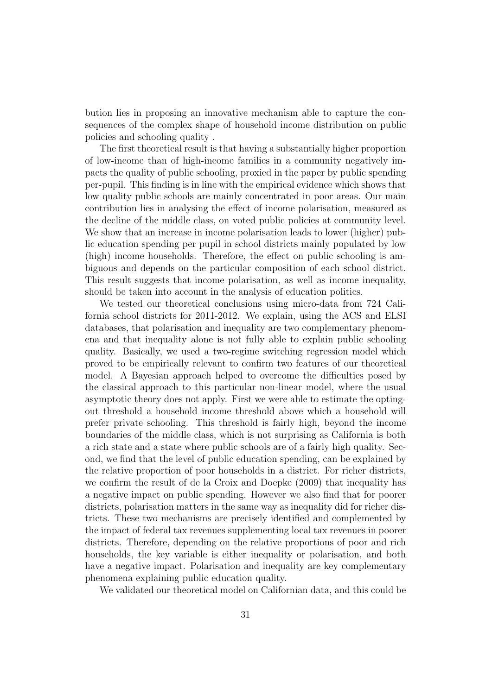bution lies in proposing an innovative mechanism able to capture the consequences of the complex shape of household income distribution on public policies and schooling quality .

The first theoretical result is that having a substantially higher proportion of low-income than of high-income families in a community negatively impacts the quality of public schooling, proxied in the paper by public spending per-pupil. This finding is in line with the empirical evidence which shows that low quality public schools are mainly concentrated in poor areas. Our main contribution lies in analysing the effect of income polarisation, measured as the decline of the middle class, on voted public policies at community level. We show that an increase in income polarisation leads to lower (higher) public education spending per pupil in school districts mainly populated by low (high) income households. Therefore, the effect on public schooling is ambiguous and depends on the particular composition of each school district. This result suggests that income polarisation, as well as income inequality, should be taken into account in the analysis of education politics.

We tested our theoretical conclusions using micro-data from 724 California school districts for 2011-2012. We explain, using the ACS and ELSI databases, that polarisation and inequality are two complementary phenomena and that inequality alone is not fully able to explain public schooling quality. Basically, we used a two-regime switching regression model which proved to be empirically relevant to confirm two features of our theoretical model. A Bayesian approach helped to overcome the difficulties posed by the classical approach to this particular non-linear model, where the usual asymptotic theory does not apply. First we were able to estimate the optingout threshold a household income threshold above which a household will prefer private schooling. This threshold is fairly high, beyond the income boundaries of the middle class, which is not surprising as California is both a rich state and a state where public schools are of a fairly high quality. Second, we find that the level of public education spending, can be explained by the relative proportion of poor households in a district. For richer districts, we confirm the result of de la Croix and Doepke (2009) that inequality has a negative impact on public spending. However we also find that for poorer districts, polarisation matters in the same way as inequality did for richer districts. These two mechanisms are precisely identified and complemented by the impact of federal tax revenues supplementing local tax revenues in poorer districts. Therefore, depending on the relative proportions of poor and rich households, the key variable is either inequality or polarisation, and both have a negative impact. Polarisation and inequality are key complementary phenomena explaining public education quality.

We validated our theoretical model on Californian data, and this could be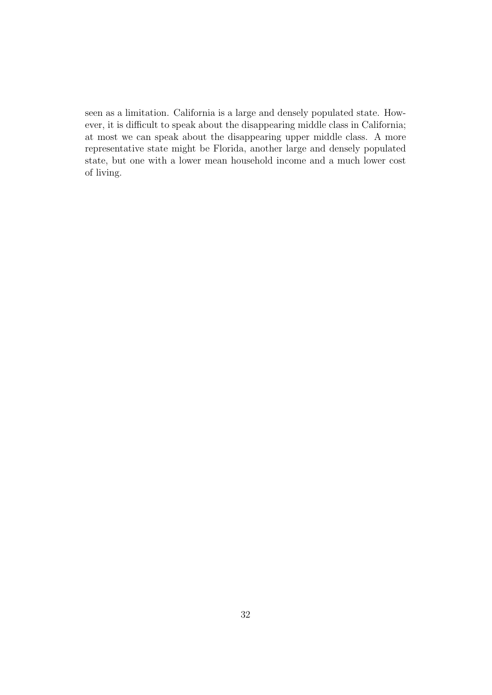seen as a limitation. California is a large and densely populated state. However, it is difficult to speak about the disappearing middle class in California; at most we can speak about the disappearing upper middle class. A more representative state might be Florida, another large and densely populated state, but one with a lower mean household income and a much lower cost of living.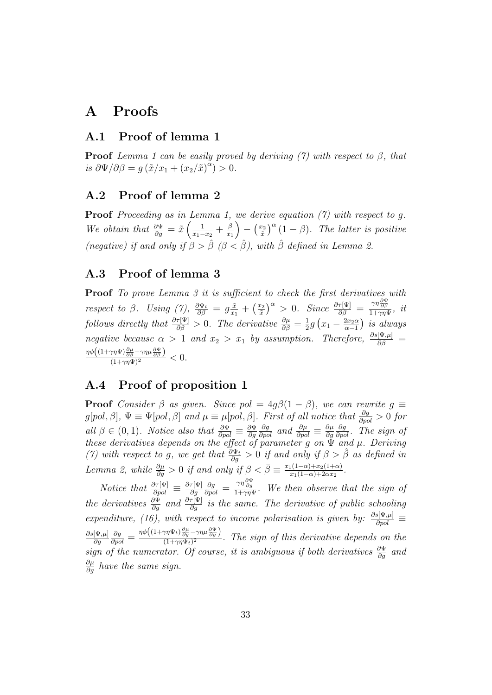## A Proofs

#### A.1 Proof of lemma 1

**Proof** Lemma 1 can be easily proved by deriving (7) with respect to  $\beta$ , that is  $\partial \Psi / \partial \beta = g \left( \tilde{x}/x_1 + (x_2/\tilde{x})^{\alpha} \right) > 0.$ 

#### A.2 Proof of lemma 2

**Proof** Proceeding as in Lemma 1, we derive equation  $(7)$  with respect to q. We obtain that  $\frac{\partial \Psi}{\partial g} = \tilde{x} \left( \frac{1}{x_1 - x_2} \right)$  $\frac{1}{x_1-x_2}+\frac{\beta}{x_1}$  $x_1$  $\Big) - \Big(\frac{x_2}{\tilde x}\Big)$  $\left(\frac{x_2}{\tilde{x}}\right)^{\alpha}(1-\beta)$ . The latter is positive (negative) if and only if  $\beta > \hat{\beta}$  ( $\beta < \hat{\beta}$ ), with  $\hat{\beta}$  defined in Lemma 2.

#### A.3 Proof of lemma 3

**Proof** To prove Lemma 3 it is sufficient to check the first derivatives with respect to  $\beta$ . Using (7),  $\frac{\partial \Psi_t}{\partial \beta} = g \frac{\tilde{x}}{x_1}$  $\frac{\tilde{x}}{x_1}+\left(\frac{x_2}{\tilde{x}}\right)$  $\left(\frac{x_2}{\tilde{x}}\right)^{\alpha} > 0$ . Since  $\frac{\partial \tau[\Psi]}{\partial \beta} = \frac{\gamma \eta \frac{\partial \Psi}{\partial \beta}}{1 + \gamma \eta \Psi}, \; it$ follows directly that  $\frac{\partial \tau[\Psi]}{\partial \beta} > 0$ . The derivative  $\frac{\partial \mu}{\partial \beta} = \frac{1}{2}$  $\frac{1}{2}g\left(x_1-\frac{2x_2\alpha}{\alpha-1}\right)$  $\frac{2x_2\alpha}{\alpha-1}$ ) is always negative because  $\alpha > 1$  and  $x_2 > x_1$  by assumption. Therefore,  $\frac{\partial s[\Psi,\mu]}{\partial \beta} =$  $\frac{\eta \phi \left( (1+\gamma \eta \Psi)\frac{\partial \mu}{\partial \beta} - \gamma \eta \mu \frac{\partial \Psi}{\partial \beta} \right)}{(1+\gamma \eta \Psi)^2} < 0.$ 

#### A.4 Proof of proposition 1

**Proof** Consider  $\beta$  as given. Since pol =  $4g\beta(1-\beta)$ , we can rewrite  $g \equiv$  $g[pol, \beta], \Psi \equiv \Psi[pol, \beta]$  and  $\mu \equiv \mu[pol, \beta]$ . First of all notice that  $\frac{\partial g}{\partial pol} > 0$  for all  $\beta \in (0,1)$ . Notice also that  $\frac{\partial \Psi}{\partial pol} \equiv \frac{\partial \Psi}{\partial g}$ ∂g  $\frac{\partial g}{\partial pol}$  and  $\frac{\partial \mu}{\partial pol} \equiv \frac{\partial \mu}{\partial g}$ ∂g  $\frac{\partial g}{\partial pol}$ . The sign of these derivatives depends on the effect of parameter g on  $\check{\Psi}$  and  $\mu$ . Deriving (7) with respect to g, we get that  $\frac{\partial \Psi_t}{\partial g} > 0$  if and only if  $\beta > \hat{\beta}$  as defined in Lemma 2, while  $\frac{\partial \mu}{\partial g} > 0$  if and only if  $\beta < \bar{\beta} \equiv \frac{x_1(1-\alpha)+x_2(1+\alpha)}{x_1(1-\alpha)+2\alpha x_2}$  $rac{1(1-α)+x_2(1+α)}{x_1(1-α)+2αx_2}$ .

*Notice that*  $\frac{\partial \tau[\Psi]}{\partial pol} \equiv \frac{\partial \tau[\Psi]}{\partial g}$ ∂g  $\frac{\partial g}{\partial pol} = \frac{\gamma \eta \frac{\partial \Psi}{\partial g}}{1 + \gamma \eta \Psi}$ . We then observe that the sign of the derivatives  $\frac{\partial \Psi}{\partial g}$  and  $\frac{\partial \tau[\Psi]}{\partial g}$  is the same. The derivative of public schooling expenditure, (16), with respect to income polarisation is given by:  $\frac{\partial s[\Psi,\mu]}{\partial pol}$  $\partial s[\Psi,\!\mu]$ ∂g  $\frac{\partial g}{\partial pol} = \frac{\eta \phi \left((1+\gamma\eta \Psi_t) \frac{\partial \mu}{\partial g} - \gamma\eta \mu \frac{\partial \Psi}{\partial g}\right)}{(1+\gamma\eta \Psi_t)^2}$  $\frac{(\eta + \tau)}{(1 + \gamma \eta \Psi_t)^2}$ . The sign of this derivative depends on the sign of the numerator. Of course, it is ambiguous if both derivatives  $\frac{\partial \Psi}{\partial g}$  and  $\frac{\partial \mu}{\partial g}$  have the same sign.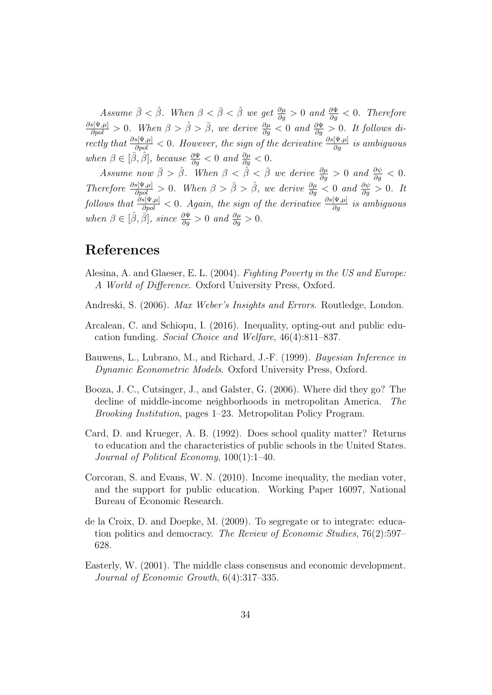Assume  $\bar{\beta} < \hat{\beta}$ . When  $\beta < \bar{\beta} < \hat{\beta}$  we get  $\frac{\partial \mu}{\partial g} > 0$  and  $\frac{\partial \Psi}{\partial g} < 0$ . Therefore  $\frac{\partial s[\Psi,\mu]}{\partial pol} > 0$ . When  $\beta > \hat{\beta} > \bar{\beta}$ , we derive  $\frac{\partial \mu}{\partial g} < 0$  and  $\frac{\partial \Psi}{\partial g} > 0$ . It follows directly that  $\frac{\partial s[\Psi,\mu]}{\partial pol} < 0$ . However, the sign of the derivative  $\frac{\partial s[\Psi,\mu]}{\partial g}$  is ambiguous when  $\beta \in [\bar{\beta}, \hat{\beta}],$  because  $\frac{\partial \Psi}{\partial g} < 0$  and  $\frac{\partial \mu}{\partial g} < 0.$ 

Assume now  $\bar{\beta} > \hat{\beta}$ . When  $\beta < \tilde{\beta} < \bar{\beta}$  we derive  $\frac{\partial \mu}{\partial g} > 0$  and  $\frac{\partial \psi}{\partial g} < 0$ . Therefore  $\frac{\partial s[\Psi,\mu]}{\partial pol} > 0$ . When  $\beta > \bar{\beta} > \hat{\beta}$ , we derive  $\frac{\partial \mu}{\partial g} < 0$  and  $\frac{\partial \psi}{\partial g} > 0$ . It  $follows$  that  $\frac{\partial s[\Psi,\mu]}{\partial pol} < 0$ . Again, the sign of the derivative  $\frac{\partial s[\Psi,\mu]}{\partial g}$  is ambiguous when  $\beta \in [\hat{\beta}, \bar{\beta}],$  since  $\frac{\partial \Psi}{\partial g} > 0$  and  $\frac{\partial \mu}{\partial g} > 0.$ 

## References

- Alesina, A. and Glaeser, E. L. (2004). Fighting Poverty in the US and Europe: A World of Difference. Oxford University Press, Oxford.
- Andreski, S. (2006). Max Weber's Insights and Errors. Routledge, London.
- Arcalean, C. and Schiopu, I. (2016). Inequality, opting-out and public education funding. Social Choice and Welfare, 46(4):811–837.
- Bauwens, L., Lubrano, M., and Richard, J.-F. (1999). Bayesian Inference in Dynamic Econometric Models. Oxford University Press, Oxford.
- Booza, J. C., Cutsinger, J., and Galster, G. (2006). Where did they go? The decline of middle-income neighborhoods in metropolitan America. The Brooking Institution, pages 1–23. Metropolitan Policy Program.
- Card, D. and Krueger, A. B. (1992). Does school quality matter? Returns to education and the characteristics of public schools in the United States. Journal of Political Economy, 100(1):1–40.
- Corcoran, S. and Evans, W. N. (2010). Income inequality, the median voter, and the support for public education. Working Paper 16097, National Bureau of Economic Research.
- de la Croix, D. and Doepke, M. (2009). To segregate or to integrate: education politics and democracy. The Review of Economic Studies, 76(2):597– 628.
- Easterly, W. (2001). The middle class consensus and economic development. Journal of Economic Growth, 6(4):317–335.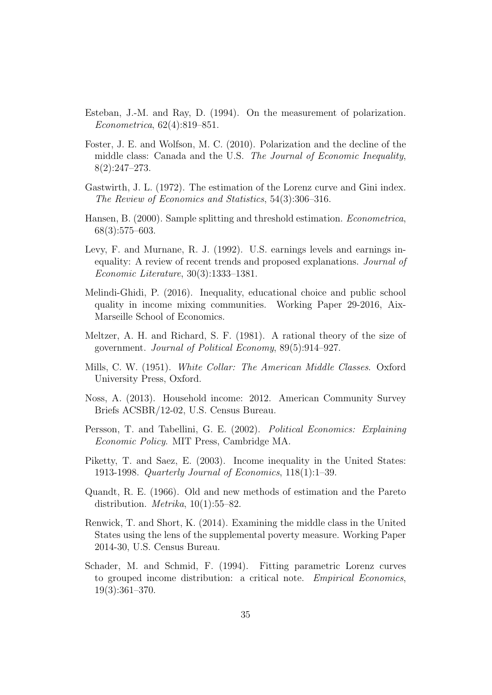- Esteban, J.-M. and Ray, D. (1994). On the measurement of polarization. Econometrica, 62(4):819–851.
- Foster, J. E. and Wolfson, M. C. (2010). Polarization and the decline of the middle class: Canada and the U.S. The Journal of Economic Inequality, 8(2):247–273.
- Gastwirth, J. L. (1972). The estimation of the Lorenz curve and Gini index. The Review of Economics and Statistics, 54(3):306–316.
- Hansen, B. (2000). Sample splitting and threshold estimation. Econometrica, 68(3):575–603.
- Levy, F. and Murnane, R. J. (1992). U.S. earnings levels and earnings inequality: A review of recent trends and proposed explanations. Journal of Economic Literature, 30(3):1333–1381.
- Melindi-Ghidi, P. (2016). Inequality, educational choice and public school quality in income mixing communities. Working Paper 29-2016, Aix-Marseille School of Economics.
- Meltzer, A. H. and Richard, S. F. (1981). A rational theory of the size of government. Journal of Political Economy, 89(5):914–927.
- Mills, C. W. (1951). White Collar: The American Middle Classes. Oxford University Press, Oxford.
- Noss, A. (2013). Household income: 2012. American Community Survey Briefs ACSBR/12-02, U.S. Census Bureau.
- Persson, T. and Tabellini, G. E. (2002). Political Economics: Explaining Economic Policy. MIT Press, Cambridge MA.
- Piketty, T. and Saez, E. (2003). Income inequality in the United States: 1913-1998. Quarterly Journal of Economics, 118(1):1–39.
- Quandt, R. E. (1966). Old and new methods of estimation and the Pareto distribution. *Metrika*,  $10(1):55-82$ .
- Renwick, T. and Short, K. (2014). Examining the middle class in the United States using the lens of the supplemental poverty measure. Working Paper 2014-30, U.S. Census Bureau.
- Schader, M. and Schmid, F. (1994). Fitting parametric Lorenz curves to grouped income distribution: a critical note. Empirical Economics, 19(3):361–370.